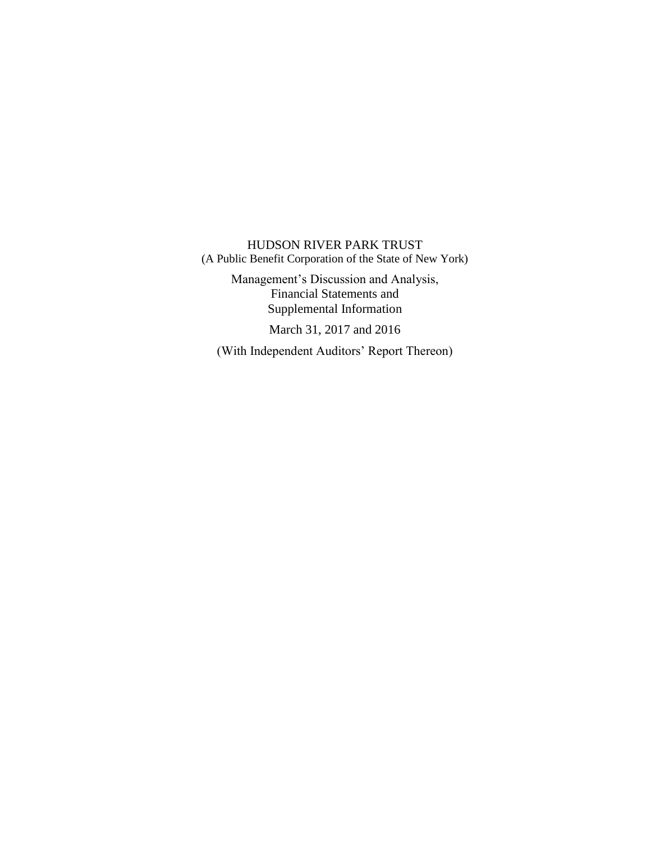### HUDSON RIVER PARK TRUST (A Public Benefit Corporation of the State of New York)

Management's Discussion and Analysis, Financial Statements and Supplemental Information

March 31, 2017 and 2016

(With Independent Auditors' Report Thereon)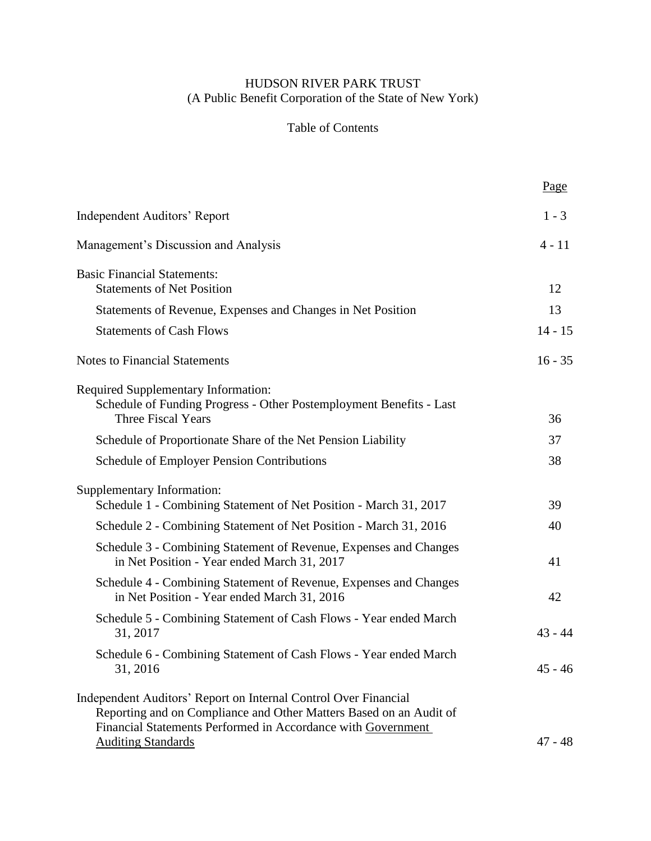# HUDSON RIVER PARK TRUST (A Public Benefit Corporation of the State of New York)

# Table of Contents

|                                                                                                                                                | Page      |
|------------------------------------------------------------------------------------------------------------------------------------------------|-----------|
| Independent Auditors' Report                                                                                                                   | $1 - 3$   |
| Management's Discussion and Analysis                                                                                                           | $4 - 11$  |
| <b>Basic Financial Statements:</b><br><b>Statements of Net Position</b>                                                                        | 12        |
| Statements of Revenue, Expenses and Changes in Net Position                                                                                    | 13        |
| <b>Statements of Cash Flows</b>                                                                                                                | $14 - 15$ |
| <b>Notes to Financial Statements</b>                                                                                                           | $16 - 35$ |
| <b>Required Supplementary Information:</b><br>Schedule of Funding Progress - Other Postemployment Benefits - Last<br><b>Three Fiscal Years</b> | 36        |
| Schedule of Proportionate Share of the Net Pension Liability                                                                                   | 37        |
| <b>Schedule of Employer Pension Contributions</b>                                                                                              | 38        |
| Supplementary Information:<br>Schedule 1 - Combining Statement of Net Position - March 31, 2017                                                | 39        |
| Schedule 2 - Combining Statement of Net Position - March 31, 2016                                                                              | 40        |
| Schedule 3 - Combining Statement of Revenue, Expenses and Changes<br>in Net Position - Year ended March 31, 2017                               | 41        |
| Schedule 4 - Combining Statement of Revenue, Expenses and Changes<br>in Net Position - Year ended March 31, 2016                               | 42        |
| Schedule 5 - Combining Statement of Cash Flows - Year ended March<br>31, 2017                                                                  | $43 - 44$ |
| Schedule 6 - Combining Statement of Cash Flows - Year ended March<br>31, 2016                                                                  | $45 - 46$ |
| Independent Auditors' Report on Internal Control Over Financial<br>Reporting and on Compliance and Other Matters Based on an Audit of          |           |
| Financial Statements Performed in Accordance with Government<br><b>Auditing Standards</b>                                                      | $47 - 48$ |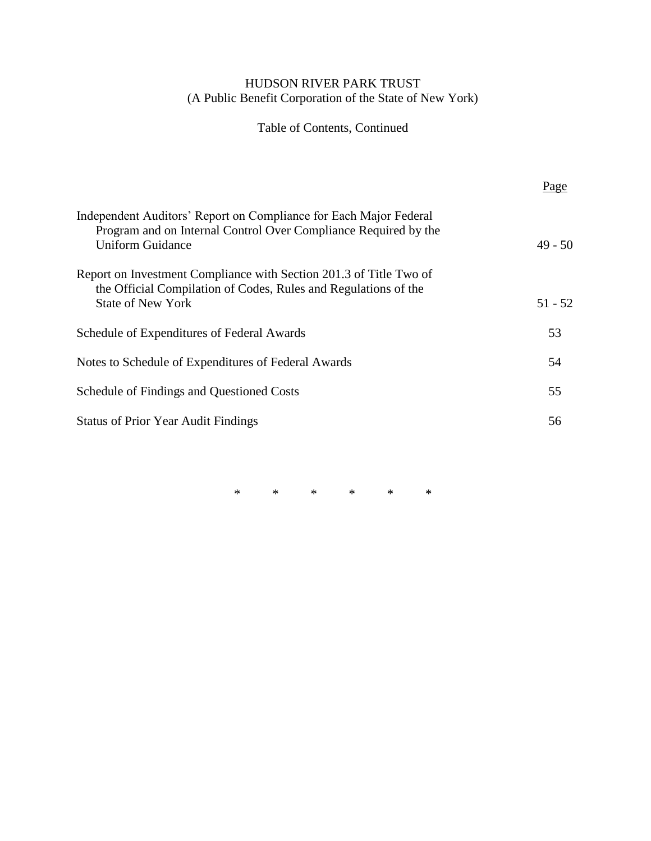# HUDSON RIVER PARK TRUST (A Public Benefit Corporation of the State of New York)

## Table of Contents, Continued

|                                                                                                                                                                   | Page      |
|-------------------------------------------------------------------------------------------------------------------------------------------------------------------|-----------|
| Independent Auditors' Report on Compliance for Each Major Federal<br>Program and on Internal Control Over Compliance Required by the<br><b>Uniform Guidance</b>   | $49 - 50$ |
| Report on Investment Compliance with Section 201.3 of Title Two of<br>the Official Compilation of Codes, Rules and Regulations of the<br><b>State of New York</b> | $51 - 52$ |
| Schedule of Expenditures of Federal Awards                                                                                                                        | 53        |
| Notes to Schedule of Expenditures of Federal Awards                                                                                                               | 54        |
| Schedule of Findings and Questioned Costs                                                                                                                         | 55        |
| <b>Status of Prior Year Audit Findings</b>                                                                                                                        | 56        |
|                                                                                                                                                                   |           |

\* \* \* \* \* \*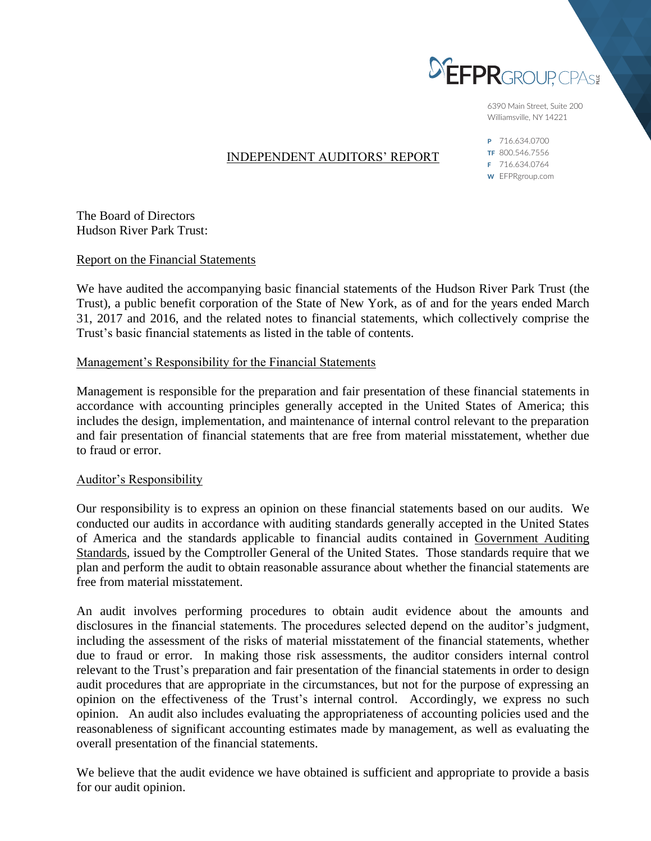

6390 Main Street, Suite 200 Williamsville, NY 14221

## INDEPENDENT AUDITORS' REPORT

P 716.634.0700 TF 800.546.7556 F 716.634.0764

W EFPRgroup.com

The Board of Directors Hudson River Park Trust:

Report on the Financial Statements

We have audited the accompanying basic financial statements of the Hudson River Park Trust (the Trust), a public benefit corporation of the State of New York, as of and for the years ended March 31, 2017 and 2016, and the related notes to financial statements, which collectively comprise the Trust's basic financial statements as listed in the table of contents.

### Management's Responsibility for the Financial Statements

Management is responsible for the preparation and fair presentation of these financial statements in accordance with accounting principles generally accepted in the United States of America; this includes the design, implementation, and maintenance of internal control relevant to the preparation and fair presentation of financial statements that are free from material misstatement, whether due to fraud or error.

#### Auditor's Responsibility

Our responsibility is to express an opinion on these financial statements based on our audits. We conducted our audits in accordance with auditing standards generally accepted in the United States of America and the standards applicable to financial audits contained in Government Auditing Standards*,* issued by the Comptroller General of the United States. Those standards require that we plan and perform the audit to obtain reasonable assurance about whether the financial statements are free from material misstatement.

An audit involves performing procedures to obtain audit evidence about the amounts and disclosures in the financial statements. The procedures selected depend on the auditor's judgment, including the assessment of the risks of material misstatement of the financial statements, whether due to fraud or error. In making those risk assessments, the auditor considers internal control relevant to the Trust's preparation and fair presentation of the financial statements in order to design audit procedures that are appropriate in the circumstances, but not for the purpose of expressing an opinion on the effectiveness of the Trust's internal control. Accordingly, we express no such opinion. An audit also includes evaluating the appropriateness of accounting policies used and the reasonableness of significant accounting estimates made by management, as well as evaluating the overall presentation of the financial statements.

We believe that the audit evidence we have obtained is sufficient and appropriate to provide a basis for our audit opinion.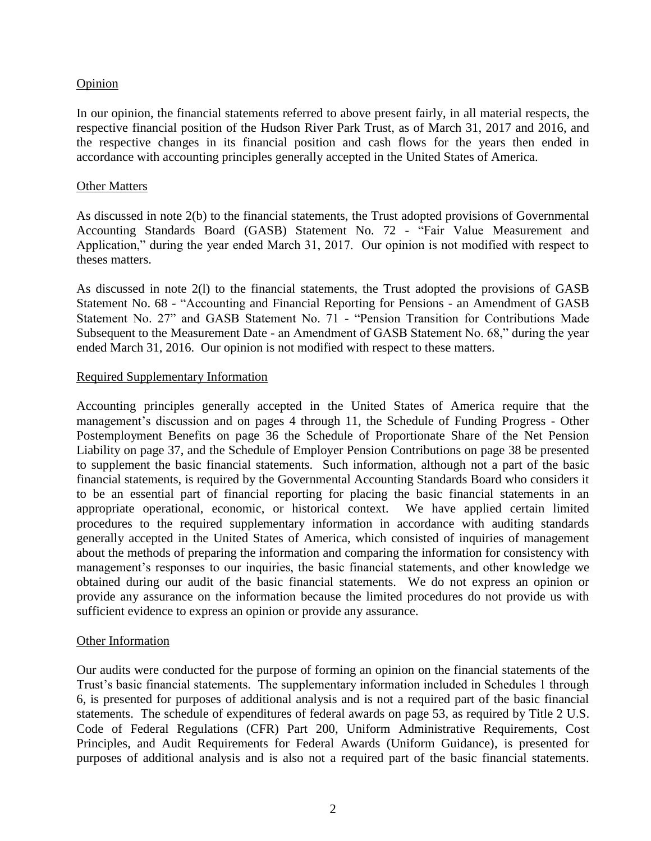### Opinion

In our opinion, the financial statements referred to above present fairly, in all material respects, the respective financial position of the Hudson River Park Trust, as of March 31, 2017 and 2016, and the respective changes in its financial position and cash flows for the years then ended in accordance with accounting principles generally accepted in the United States of America.

### Other Matters

As discussed in note 2(b) to the financial statements, the Trust adopted provisions of Governmental Accounting Standards Board (GASB) Statement No. 72 - "Fair Value Measurement and Application," during the year ended March 31, 2017. Our opinion is not modified with respect to theses matters.

As discussed in note 2(l) to the financial statements, the Trust adopted the provisions of GASB Statement No. 68 - "Accounting and Financial Reporting for Pensions - an Amendment of GASB Statement No. 27" and GASB Statement No. 71 - "Pension Transition for Contributions Made Subsequent to the Measurement Date - an Amendment of GASB Statement No. 68," during the year ended March 31, 2016. Our opinion is not modified with respect to these matters.

### Required Supplementary Information

Accounting principles generally accepted in the United States of America require that the management's discussion and on pages 4 through 11, the Schedule of Funding Progress - Other Postemployment Benefits on page 36 the Schedule of Proportionate Share of the Net Pension Liability on page 37, and the Schedule of Employer Pension Contributions on page 38 be presented to supplement the basic financial statements. Such information, although not a part of the basic financial statements, is required by the Governmental Accounting Standards Board who considers it to be an essential part of financial reporting for placing the basic financial statements in an appropriate operational, economic, or historical context. We have applied certain limited procedures to the required supplementary information in accordance with auditing standards generally accepted in the United States of America, which consisted of inquiries of management about the methods of preparing the information and comparing the information for consistency with management's responses to our inquiries, the basic financial statements, and other knowledge we obtained during our audit of the basic financial statements. We do not express an opinion or provide any assurance on the information because the limited procedures do not provide us with sufficient evidence to express an opinion or provide any assurance.

### Other Information

Our audits were conducted for the purpose of forming an opinion on the financial statements of the Trust's basic financial statements. The supplementary information included in Schedules 1 through 6, is presented for purposes of additional analysis and is not a required part of the basic financial statements. The schedule of expenditures of federal awards on page 53, as required by Title 2 U.S. Code of Federal Regulations (CFR) Part 200, Uniform Administrative Requirements, Cost Principles, and Audit Requirements for Federal Awards (Uniform Guidance), is presented for purposes of additional analysis and is also not a required part of the basic financial statements.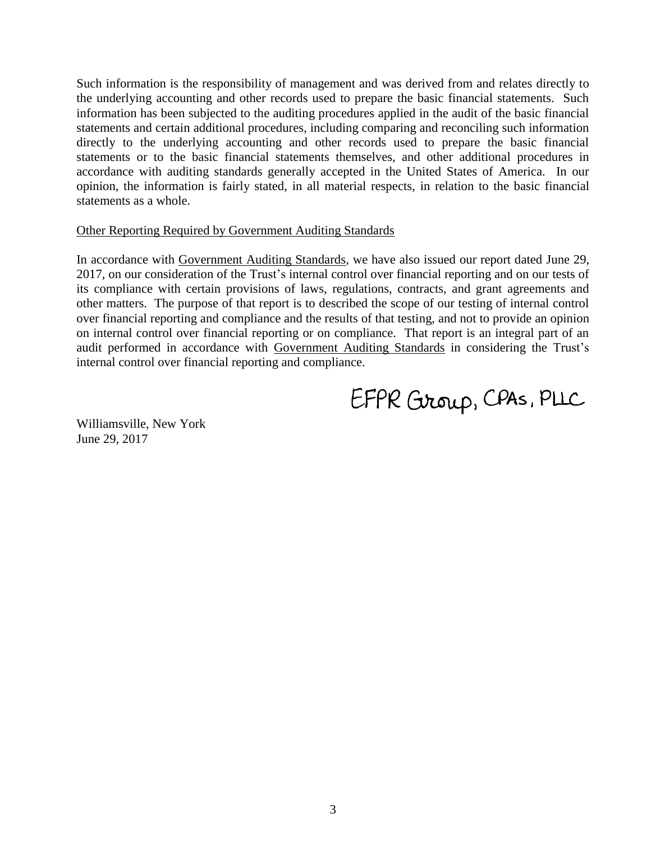Such information is the responsibility of management and was derived from and relates directly to the underlying accounting and other records used to prepare the basic financial statements. Such information has been subjected to the auditing procedures applied in the audit of the basic financial statements and certain additional procedures, including comparing and reconciling such information directly to the underlying accounting and other records used to prepare the basic financial statements or to the basic financial statements themselves, and other additional procedures in accordance with auditing standards generally accepted in the United States of America. In our opinion, the information is fairly stated, in all material respects, in relation to the basic financial statements as a whole.

### Other Reporting Required by Government Auditing Standards

In accordance with Government Auditing Standards, we have also issued our report dated June 29, 2017, on our consideration of the Trust's internal control over financial reporting and on our tests of its compliance with certain provisions of laws, regulations, contracts, and grant agreements and other matters. The purpose of that report is to described the scope of our testing of internal control over financial reporting and compliance and the results of that testing, and not to provide an opinion on internal control over financial reporting or on compliance. That report is an integral part of an audit performed in accordance with Government Auditing Standards in considering the Trust's internal control over financial reporting and compliance.

EFPR Group, CPAS, PLLC

Williamsville, New York June 29, 2017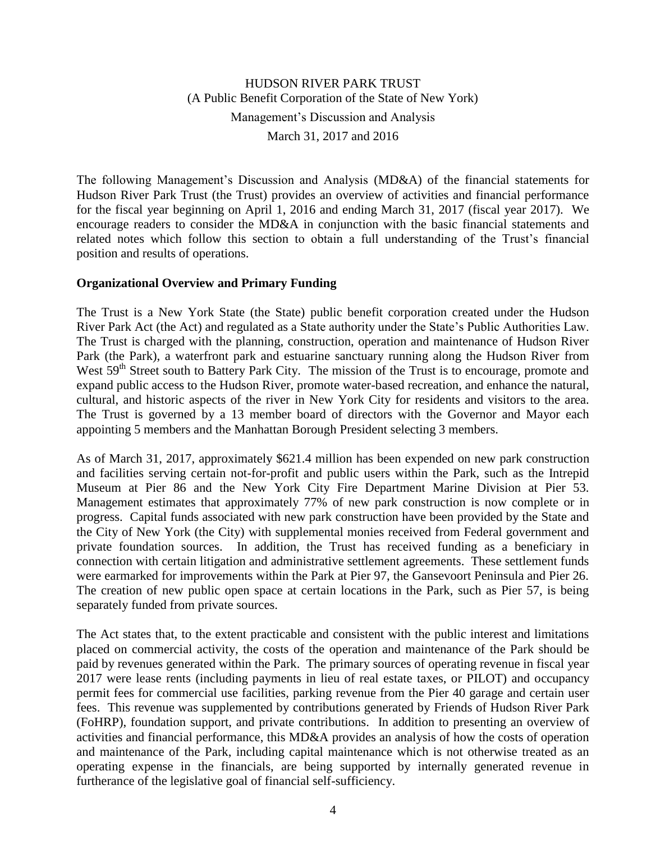The following Management's Discussion and Analysis (MD&A) of the financial statements for Hudson River Park Trust (the Trust) provides an overview of activities and financial performance for the fiscal year beginning on April 1, 2016 and ending March 31, 2017 (fiscal year 2017). We encourage readers to consider the MD&A in conjunction with the basic financial statements and related notes which follow this section to obtain a full understanding of the Trust's financial position and results of operations.

### **Organizational Overview and Primary Funding**

The Trust is a New York State (the State) public benefit corporation created under the Hudson River Park Act (the Act) and regulated as a State authority under the State's Public Authorities Law. The Trust is charged with the planning, construction, operation and maintenance of Hudson River Park (the Park), a waterfront park and estuarine sanctuary running along the Hudson River from West 59<sup>th</sup> Street south to Battery Park City. The mission of the Trust is to encourage, promote and expand public access to the Hudson River, promote water-based recreation, and enhance the natural, cultural, and historic aspects of the river in New York City for residents and visitors to the area. The Trust is governed by a 13 member board of directors with the Governor and Mayor each appointing 5 members and the Manhattan Borough President selecting 3 members.

As of March 31, 2017, approximately \$621.4 million has been expended on new park construction and facilities serving certain not-for-profit and public users within the Park, such as the Intrepid Museum at Pier 86 and the New York City Fire Department Marine Division at Pier 53. Management estimates that approximately 77% of new park construction is now complete or in progress. Capital funds associated with new park construction have been provided by the State and the City of New York (the City) with supplemental monies received from Federal government and private foundation sources. In addition, the Trust has received funding as a beneficiary in connection with certain litigation and administrative settlement agreements. These settlement funds were earmarked for improvements within the Park at Pier 97, the Gansevoort Peninsula and Pier 26. The creation of new public open space at certain locations in the Park, such as Pier 57, is being separately funded from private sources.

The Act states that, to the extent practicable and consistent with the public interest and limitations placed on commercial activity, the costs of the operation and maintenance of the Park should be paid by revenues generated within the Park. The primary sources of operating revenue in fiscal year 2017 were lease rents (including payments in lieu of real estate taxes, or PILOT) and occupancy permit fees for commercial use facilities, parking revenue from the Pier 40 garage and certain user fees. This revenue was supplemented by contributions generated by Friends of Hudson River Park (FoHRP), foundation support, and private contributions. In addition to presenting an overview of activities and financial performance, this MD&A provides an analysis of how the costs of operation and maintenance of the Park, including capital maintenance which is not otherwise treated as an operating expense in the financials, are being supported by internally generated revenue in furtherance of the legislative goal of financial self-sufficiency.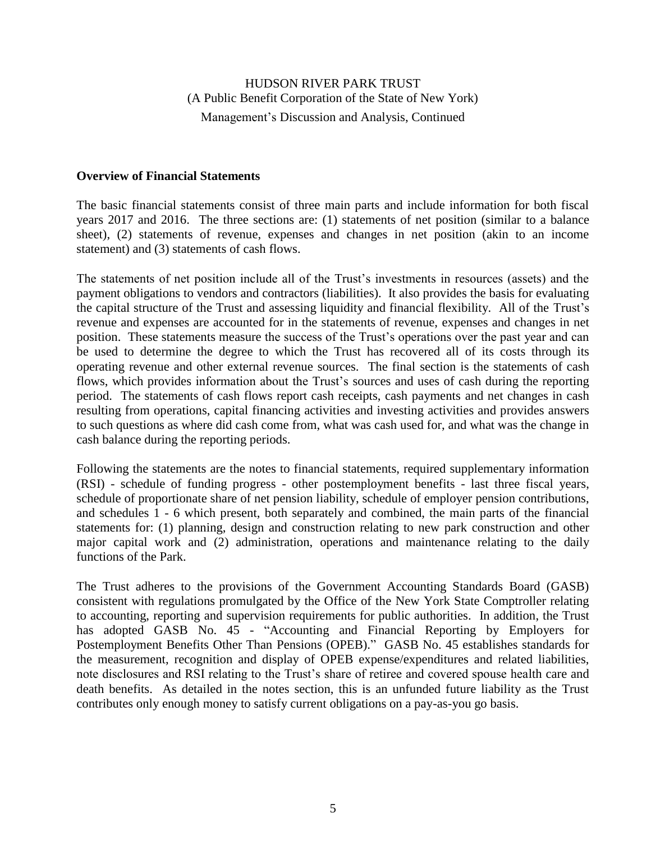### **Overview of Financial Statements**

The basic financial statements consist of three main parts and include information for both fiscal years 2017 and 2016. The three sections are: (1) statements of net position (similar to a balance sheet), (2) statements of revenue, expenses and changes in net position (akin to an income statement) and (3) statements of cash flows.

The statements of net position include all of the Trust's investments in resources (assets) and the payment obligations to vendors and contractors (liabilities). It also provides the basis for evaluating the capital structure of the Trust and assessing liquidity and financial flexibility. All of the Trust's revenue and expenses are accounted for in the statements of revenue, expenses and changes in net position. These statements measure the success of the Trust's operations over the past year and can be used to determine the degree to which the Trust has recovered all of its costs through its operating revenue and other external revenue sources. The final section is the statements of cash flows, which provides information about the Trust's sources and uses of cash during the reporting period. The statements of cash flows report cash receipts, cash payments and net changes in cash resulting from operations, capital financing activities and investing activities and provides answers to such questions as where did cash come from, what was cash used for, and what was the change in cash balance during the reporting periods.

Following the statements are the notes to financial statements, required supplementary information (RSI) - schedule of funding progress - other postemployment benefits - last three fiscal years, schedule of proportionate share of net pension liability, schedule of employer pension contributions, and schedules 1 - 6 which present, both separately and combined, the main parts of the financial statements for: (1) planning, design and construction relating to new park construction and other major capital work and (2) administration, operations and maintenance relating to the daily functions of the Park.

The Trust adheres to the provisions of the Government Accounting Standards Board (GASB) consistent with regulations promulgated by the Office of the New York State Comptroller relating to accounting, reporting and supervision requirements for public authorities. In addition, the Trust has adopted GASB No. 45 - "Accounting and Financial Reporting by Employers for Postemployment Benefits Other Than Pensions (OPEB)." GASB No. 45 establishes standards for the measurement, recognition and display of OPEB expense/expenditures and related liabilities, note disclosures and RSI relating to the Trust's share of retiree and covered spouse health care and death benefits. As detailed in the notes section, this is an unfunded future liability as the Trust contributes only enough money to satisfy current obligations on a pay-as-you go basis.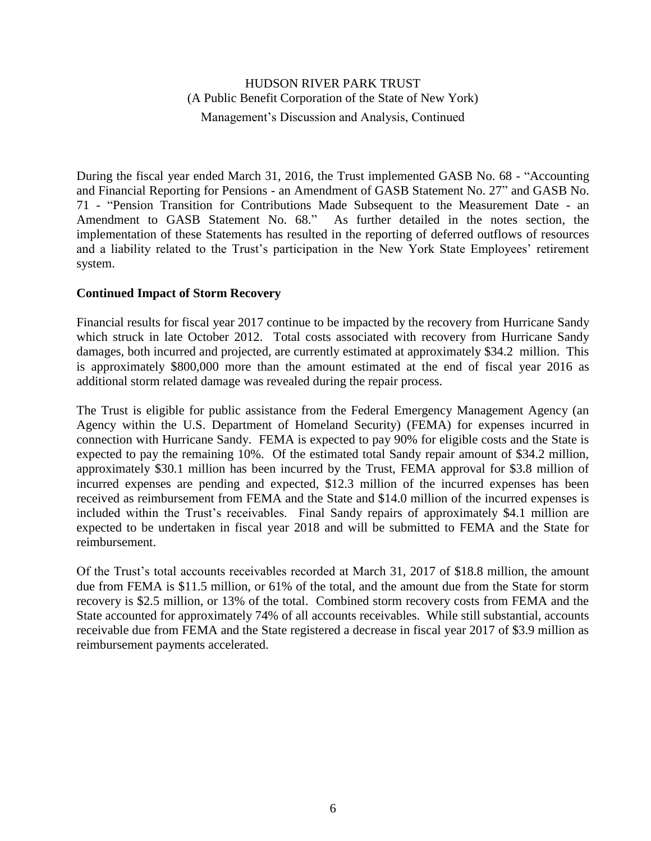During the fiscal year ended March 31, 2016, the Trust implemented GASB No. 68 - "Accounting and Financial Reporting for Pensions - an Amendment of GASB Statement No. 27" and GASB No. 71 - "Pension Transition for Contributions Made Subsequent to the Measurement Date - an Amendment to GASB Statement No. 68." As further detailed in the notes section, the implementation of these Statements has resulted in the reporting of deferred outflows of resources and a liability related to the Trust's participation in the New York State Employees' retirement system.

## **Continued Impact of Storm Recovery**

Financial results for fiscal year 2017 continue to be impacted by the recovery from Hurricane Sandy which struck in late October 2012. Total costs associated with recovery from Hurricane Sandy damages, both incurred and projected, are currently estimated at approximately \$34.2 million. This is approximately \$800,000 more than the amount estimated at the end of fiscal year 2016 as additional storm related damage was revealed during the repair process.

The Trust is eligible for public assistance from the Federal Emergency Management Agency (an Agency within the U.S. Department of Homeland Security) (FEMA) for expenses incurred in connection with Hurricane Sandy. FEMA is expected to pay 90% for eligible costs and the State is expected to pay the remaining 10%. Of the estimated total Sandy repair amount of \$34.2 million, approximately \$30.1 million has been incurred by the Trust, FEMA approval for \$3.8 million of incurred expenses are pending and expected, \$12.3 million of the incurred expenses has been received as reimbursement from FEMA and the State and \$14.0 million of the incurred expenses is included within the Trust's receivables. Final Sandy repairs of approximately \$4.1 million are expected to be undertaken in fiscal year 2018 and will be submitted to FEMA and the State for reimbursement.

Of the Trust's total accounts receivables recorded at March 31, 2017 of \$18.8 million, the amount due from FEMA is \$11.5 million, or 61% of the total, and the amount due from the State for storm recovery is \$2.5 million, or 13% of the total. Combined storm recovery costs from FEMA and the State accounted for approximately 74% of all accounts receivables. While still substantial, accounts receivable due from FEMA and the State registered a decrease in fiscal year 2017 of \$3.9 million as reimbursement payments accelerated.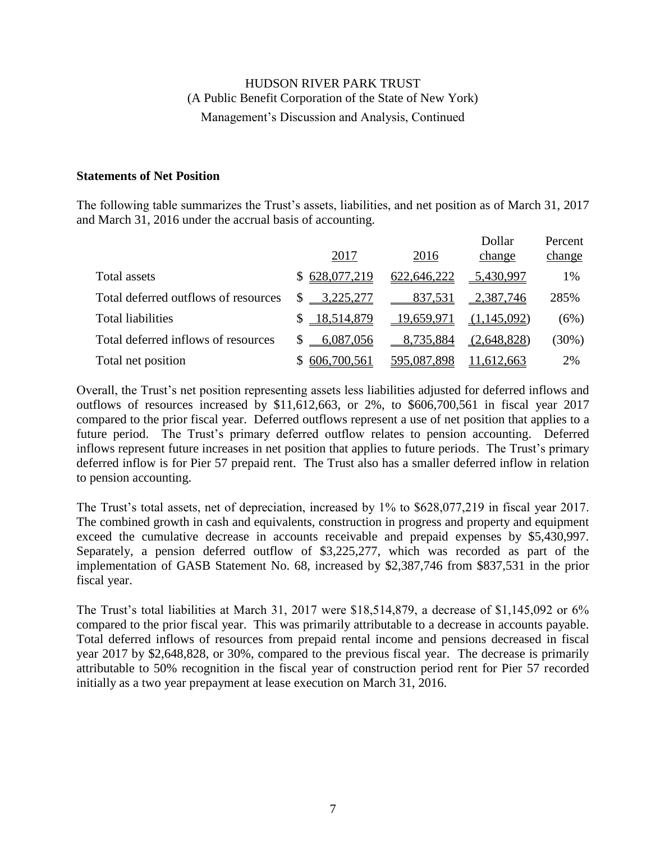### **Statements of Net Position**

The following table summarizes the Trust's assets, liabilities, and net position as of March 31, 2017 and March 31, 2016 under the accrual basis of accounting.

Dollar Percent

|                                      | 2017            | 2016          | ронаг<br>change | <b>Percent</b><br>change |
|--------------------------------------|-----------------|---------------|-----------------|--------------------------|
| Total assets                         | \$628,077,219   | 622, 646, 222 | 5,430,997       | 1%                       |
| Total deferred outflows of resources | $\$\,3,225,277$ | 837,531       | 2,387,746       | 285%                     |
| <b>Total liabilities</b>             | \$18,514,879    | 19,659,971    | (1,145,092)     | (6%)                     |
| Total deferred inflows of resources  | 6,087,056       | 8,735,884     | (2,648,828)     | $(30\%)$                 |
| Total net position                   | 606,700,561     | 595,087,898   | 11,612,663      | 2%                       |

Overall, the Trust's net position representing assets less liabilities adjusted for deferred inflows and outflows of resources increased by \$11,612,663, or 2%, to \$606,700,561 in fiscal year 2017 compared to the prior fiscal year. Deferred outflows represent a use of net position that applies to a future period. The Trust's primary deferred outflow relates to pension accounting. Deferred inflows represent future increases in net position that applies to future periods. The Trust's primary deferred inflow is for Pier 57 prepaid rent. The Trust also has a smaller deferred inflow in relation to pension accounting.

The Trust's total assets, net of depreciation, increased by 1% to \$628,077,219 in fiscal year 2017. The combined growth in cash and equivalents, construction in progress and property and equipment exceed the cumulative decrease in accounts receivable and prepaid expenses by \$5,430,997. Separately, a pension deferred outflow of \$3,225,277, which was recorded as part of the implementation of GASB Statement No. 68, increased by \$2,387,746 from \$837,531 in the prior fiscal year.

The Trust's total liabilities at March 31, 2017 were \$18,514,879, a decrease of \$1,145,092 or 6% compared to the prior fiscal year. This was primarily attributable to a decrease in accounts payable. Total deferred inflows of resources from prepaid rental income and pensions decreased in fiscal year 2017 by \$2,648,828, or 30%, compared to the previous fiscal year. The decrease is primarily attributable to 50% recognition in the fiscal year of construction period rent for Pier 57 recorded initially as a two year prepayment at lease execution on March 31, 2016.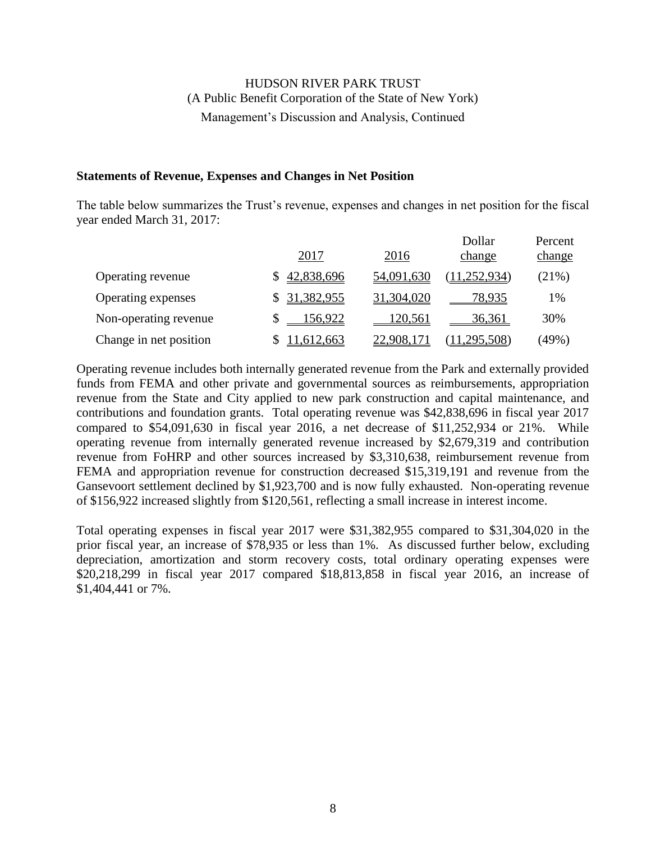#### **Statements of Revenue, Expenses and Changes in Net Position**

The table below summarizes the Trust's revenue, expenses and changes in net position for the fiscal year ended March 31, 2017:

|                        | 2017       | 2016              | Dollar<br>change | Percent<br>change |
|------------------------|------------|-------------------|------------------|-------------------|
| Operating revenue      | 42,838,696 | 54,091,630        | (11, 252, 934)   | (21%)             |
| Operating expenses     | 31,382,955 | <u>31,304,020</u> | 78,935           | 1%                |
| Non-operating revenue  | 156,922    | 120.561           | 36,361           | 30%               |
| Change in net position | 11,612,663 | 22,908,171        | ,295,508)        | (49%)             |

Operating revenue includes both internally generated revenue from the Park and externally provided funds from FEMA and other private and governmental sources as reimbursements, appropriation revenue from the State and City applied to new park construction and capital maintenance, and contributions and foundation grants. Total operating revenue was \$42,838,696 in fiscal year 2017 compared to \$54,091,630 in fiscal year 2016, a net decrease of \$11,252,934 or 21%. While operating revenue from internally generated revenue increased by \$2,679,319 and contribution revenue from FoHRP and other sources increased by \$3,310,638, reimbursement revenue from FEMA and appropriation revenue for construction decreased \$15,319,191 and revenue from the Gansevoort settlement declined by \$1,923,700 and is now fully exhausted. Non-operating revenue of \$156,922 increased slightly from \$120,561, reflecting a small increase in interest income.

Total operating expenses in fiscal year 2017 were \$31,382,955 compared to \$31,304,020 in the prior fiscal year, an increase of \$78,935 or less than 1%. As discussed further below, excluding depreciation, amortization and storm recovery costs, total ordinary operating expenses were \$20,218,299 in fiscal year 2017 compared \$18,813,858 in fiscal year 2016, an increase of \$1,404,441 or 7%.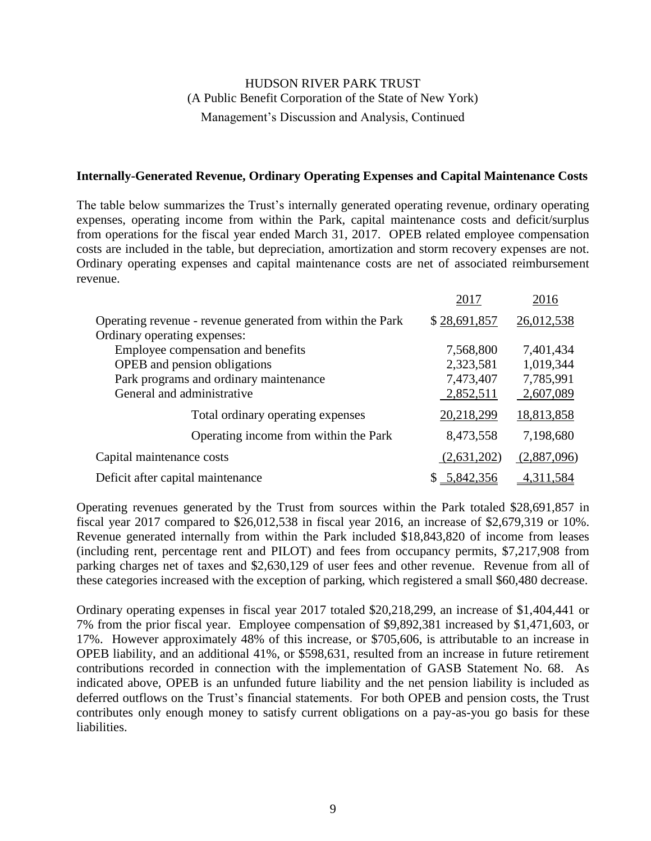### **Internally-Generated Revenue, Ordinary Operating Expenses and Capital Maintenance Costs**

The table below summarizes the Trust's internally generated operating revenue, ordinary operating expenses, operating income from within the Park, capital maintenance costs and deficit/surplus from operations for the fiscal year ended March 31, 2017. OPEB related employee compensation costs are included in the table, but depreciation, amortization and storm recovery expenses are not. Ordinary operating expenses and capital maintenance costs are net of associated reimbursement revenue.

|                                                            | 2017         | 2016        |
|------------------------------------------------------------|--------------|-------------|
| Operating revenue - revenue generated from within the Park | \$28,691,857 | 26,012,538  |
| Ordinary operating expenses:                               |              |             |
| Employee compensation and benefits                         | 7,568,800    | 7,401,434   |
| <b>OPEB</b> and pension obligations                        | 2,323,581    | 1,019,344   |
| Park programs and ordinary maintenance                     | 7,473,407    | 7,785,991   |
| General and administrative                                 | 2,852,511    | 2,607,089   |
| Total ordinary operating expenses                          | 20,218,299   | 18,813,858  |
| Operating income from within the Park                      | 8,473,558    | 7,198,680   |
| Capital maintenance costs                                  | (2,631,202)  | (2,887,096) |
| Deficit after capital maintenance                          | \$ 5,842,356 | 4,311,584   |

Operating revenues generated by the Trust from sources within the Park totaled \$28,691,857 in fiscal year 2017 compared to \$26,012,538 in fiscal year 2016, an increase of \$2,679,319 or 10%. Revenue generated internally from within the Park included \$18,843,820 of income from leases (including rent, percentage rent and PILOT) and fees from occupancy permits, \$7,217,908 from parking charges net of taxes and \$2,630,129 of user fees and other revenue. Revenue from all of these categories increased with the exception of parking, which registered a small \$60,480 decrease.

Ordinary operating expenses in fiscal year 2017 totaled \$20,218,299, an increase of \$1,404,441 or 7% from the prior fiscal year. Employee compensation of \$9,892,381 increased by \$1,471,603, or 17%. However approximately 48% of this increase, or \$705,606, is attributable to an increase in OPEB liability, and an additional 41%, or \$598,631, resulted from an increase in future retirement contributions recorded in connection with the implementation of GASB Statement No. 68. As indicated above, OPEB is an unfunded future liability and the net pension liability is included as deferred outflows on the Trust's financial statements. For both OPEB and pension costs, the Trust contributes only enough money to satisfy current obligations on a pay-as-you go basis for these liabilities.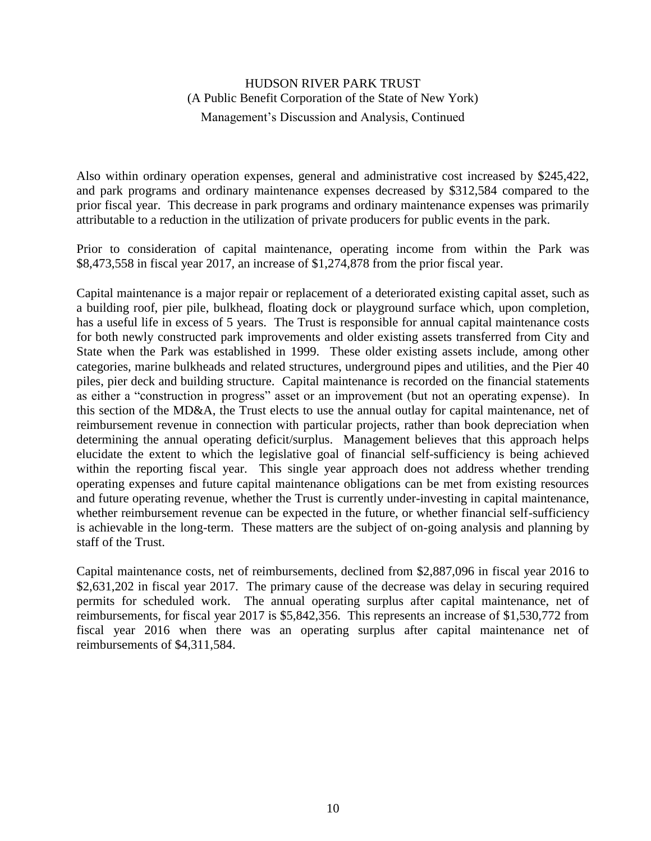Also within ordinary operation expenses, general and administrative cost increased by \$245,422, and park programs and ordinary maintenance expenses decreased by \$312,584 compared to the prior fiscal year. This decrease in park programs and ordinary maintenance expenses was primarily attributable to a reduction in the utilization of private producers for public events in the park.

Prior to consideration of capital maintenance, operating income from within the Park was \$8,473,558 in fiscal year 2017, an increase of \$1,274,878 from the prior fiscal year.

Capital maintenance is a major repair or replacement of a deteriorated existing capital asset, such as a building roof, pier pile, bulkhead, floating dock or playground surface which, upon completion, has a useful life in excess of 5 years. The Trust is responsible for annual capital maintenance costs for both newly constructed park improvements and older existing assets transferred from City and State when the Park was established in 1999. These older existing assets include, among other categories, marine bulkheads and related structures, underground pipes and utilities, and the Pier 40 piles, pier deck and building structure. Capital maintenance is recorded on the financial statements as either a "construction in progress" asset or an improvement (but not an operating expense). In this section of the MD&A, the Trust elects to use the annual outlay for capital maintenance, net of reimbursement revenue in connection with particular projects, rather than book depreciation when determining the annual operating deficit/surplus. Management believes that this approach helps elucidate the extent to which the legislative goal of financial self-sufficiency is being achieved within the reporting fiscal year. This single year approach does not address whether trending operating expenses and future capital maintenance obligations can be met from existing resources and future operating revenue, whether the Trust is currently under-investing in capital maintenance, whether reimbursement revenue can be expected in the future, or whether financial self-sufficiency is achievable in the long-term. These matters are the subject of on-going analysis and planning by staff of the Trust.

Capital maintenance costs, net of reimbursements, declined from \$2,887,096 in fiscal year 2016 to \$2,631,202 in fiscal year 2017. The primary cause of the decrease was delay in securing required permits for scheduled work. The annual operating surplus after capital maintenance, net of reimbursements, for fiscal year 2017 is \$5,842,356. This represents an increase of \$1,530,772 from fiscal year 2016 when there was an operating surplus after capital maintenance net of reimbursements of \$4,311,584.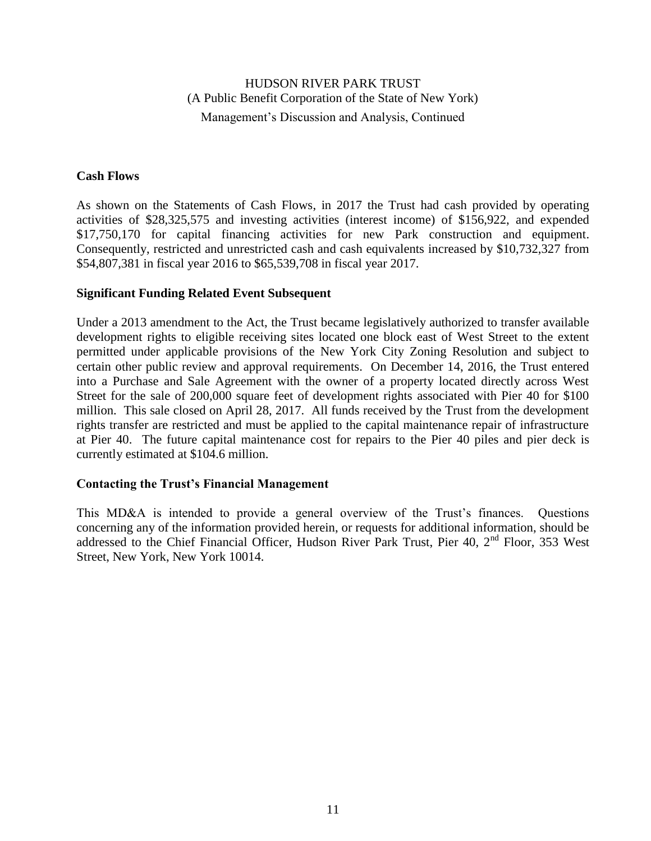## **Cash Flows**

As shown on the Statements of Cash Flows, in 2017 the Trust had cash provided by operating activities of \$28,325,575 and investing activities (interest income) of \$156,922, and expended \$17,750,170 for capital financing activities for new Park construction and equipment. Consequently, restricted and unrestricted cash and cash equivalents increased by \$10,732,327 from \$54,807,381 in fiscal year 2016 to \$65,539,708 in fiscal year 2017.

### **Significant Funding Related Event Subsequent**

Under a 2013 amendment to the Act, the Trust became legislatively authorized to transfer available development rights to eligible receiving sites located one block east of West Street to the extent permitted under applicable provisions of the New York City Zoning Resolution and subject to certain other public review and approval requirements. On December 14, 2016, the Trust entered into a Purchase and Sale Agreement with the owner of a property located directly across West Street for the sale of 200,000 square feet of development rights associated with Pier 40 for \$100 million. This sale closed on April 28, 2017. All funds received by the Trust from the development rights transfer are restricted and must be applied to the capital maintenance repair of infrastructure at Pier 40. The future capital maintenance cost for repairs to the Pier 40 piles and pier deck is currently estimated at \$104.6 million.

### **Contacting the Trust's Financial Management**

This MD&A is intended to provide a general overview of the Trust's finances. Questions concerning any of the information provided herein, or requests for additional information, should be addressed to the Chief Financial Officer, Hudson River Park Trust, Pier 40, 2nd Floor, 353 West Street, New York, New York 10014.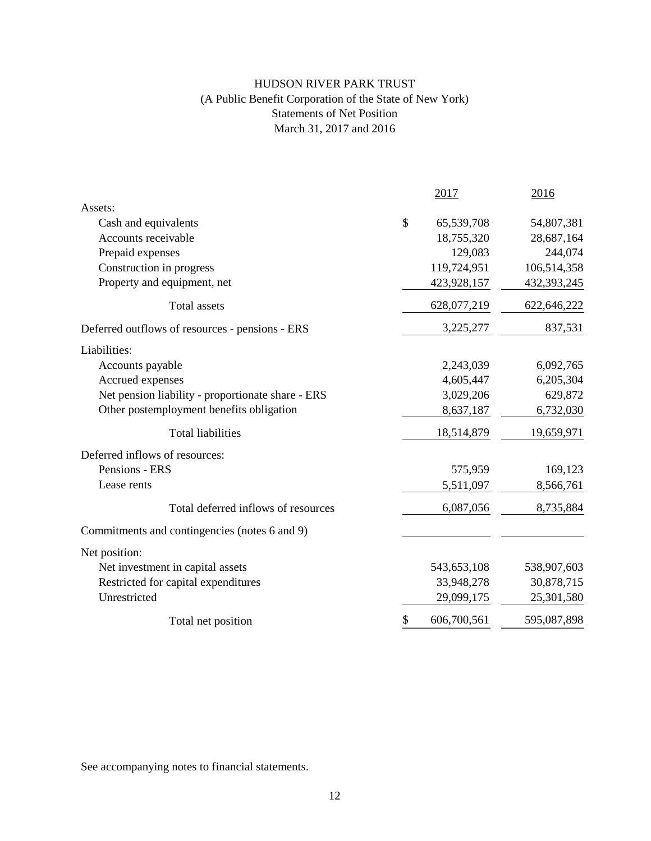## HUDSON RIVER PARK TRUST Statements of Net Position March 31, 2017 and 2016 (A Public Benefit Corporation of the State of New York)

|                                                   | 2017              | 2016        |
|---------------------------------------------------|-------------------|-------------|
| Assets:                                           |                   |             |
| Cash and equivalents                              | \$<br>65,539,708  | 54,807,381  |
| Accounts receivable                               | 18,755,320        | 28,687,164  |
| Prepaid expenses                                  | 129,083           | 244,074     |
| Construction in progress                          | 119,724,951       | 106,514,358 |
| Property and equipment, net                       | 423,928,157       | 432,393,245 |
| <b>Total assets</b>                               | 628,077,219       | 622,646,222 |
| Deferred outflows of resources - pensions - ERS   | 3,225,277         | 837,531     |
| Liabilities:                                      |                   |             |
| Accounts payable                                  | 2,243,039         | 6,092,765   |
| Accrued expenses                                  | 4,605,447         | 6,205,304   |
| Net pension liability - proportionate share - ERS | 3,029,206         | 629,872     |
| Other postemployment benefits obligation          | 8,637,187         | 6,732,030   |
| <b>Total liabilities</b>                          | 18,514,879        | 19,659,971  |
| Deferred inflows of resources:                    |                   |             |
| Pensions - ERS                                    | 575,959           | 169,123     |
| Lease rents                                       | 5,511,097         | 8,566,761   |
| Total deferred inflows of resources               | 6,087,056         | 8,735,884   |
| Commitments and contingencies (notes 6 and 9)     |                   |             |
| Net position:                                     |                   |             |
| Net investment in capital assets                  | 543,653,108       | 538,907,603 |
| Restricted for capital expenditures               | 33,948,278        | 30,878,715  |
| Unrestricted                                      | 29,099,175        | 25,301,580  |
| Total net position                                | \$<br>606,700,561 | 595,087,898 |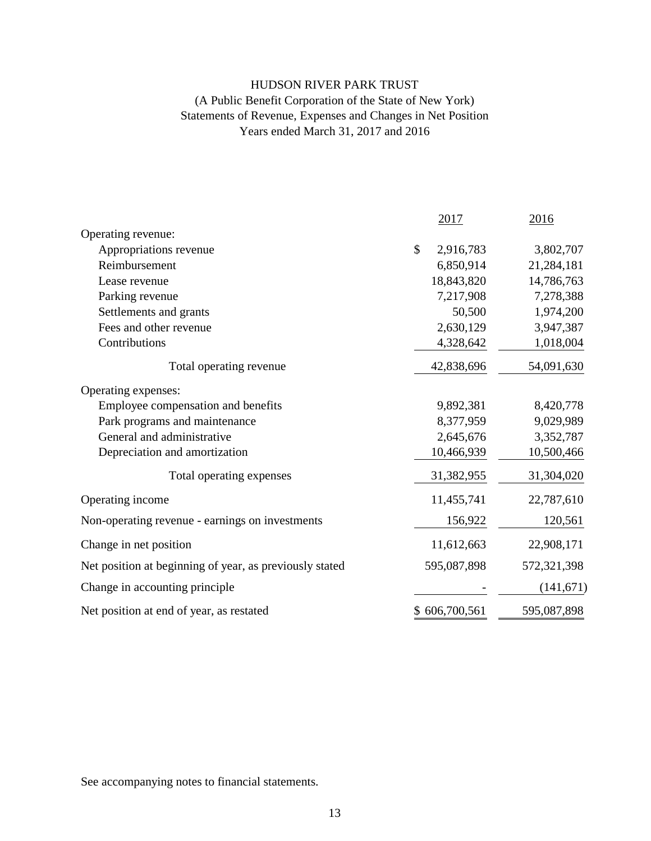#### HUDSON RIVER PARK TRUST

## (A Public Benefit Corporation of the State of New York) Statements of Revenue, Expenses and Changes in Net Position Years ended March 31, 2017 and 2016

|                                                         | 2017            | 2016        |
|---------------------------------------------------------|-----------------|-------------|
| Operating revenue:                                      |                 |             |
| Appropriations revenue                                  | \$<br>2,916,783 | 3,802,707   |
| Reimbursement                                           | 6,850,914       | 21,284,181  |
| Lease revenue                                           | 18,843,820      | 14,786,763  |
| Parking revenue                                         | 7,217,908       | 7,278,388   |
| Settlements and grants                                  | 50,500          | 1,974,200   |
| Fees and other revenue                                  | 2,630,129       | 3,947,387   |
| Contributions                                           | 4,328,642       | 1,018,004   |
| Total operating revenue                                 | 42,838,696      | 54,091,630  |
| Operating expenses:                                     |                 |             |
| Employee compensation and benefits                      | 9,892,381       | 8,420,778   |
| Park programs and maintenance                           | 8,377,959       | 9,029,989   |
| General and administrative                              | 2,645,676       | 3,352,787   |
| Depreciation and amortization                           | 10,466,939      | 10,500,466  |
| Total operating expenses                                | 31,382,955      | 31,304,020  |
| Operating income                                        | 11,455,741      | 22,787,610  |
| Non-operating revenue - earnings on investments         | 156,922         | 120,561     |
| Change in net position                                  | 11,612,663      | 22,908,171  |
| Net position at beginning of year, as previously stated | 595,087,898     | 572,321,398 |
| Change in accounting principle                          |                 | (141, 671)  |
| Net position at end of year, as restated                | 606,700,561     | 595,087,898 |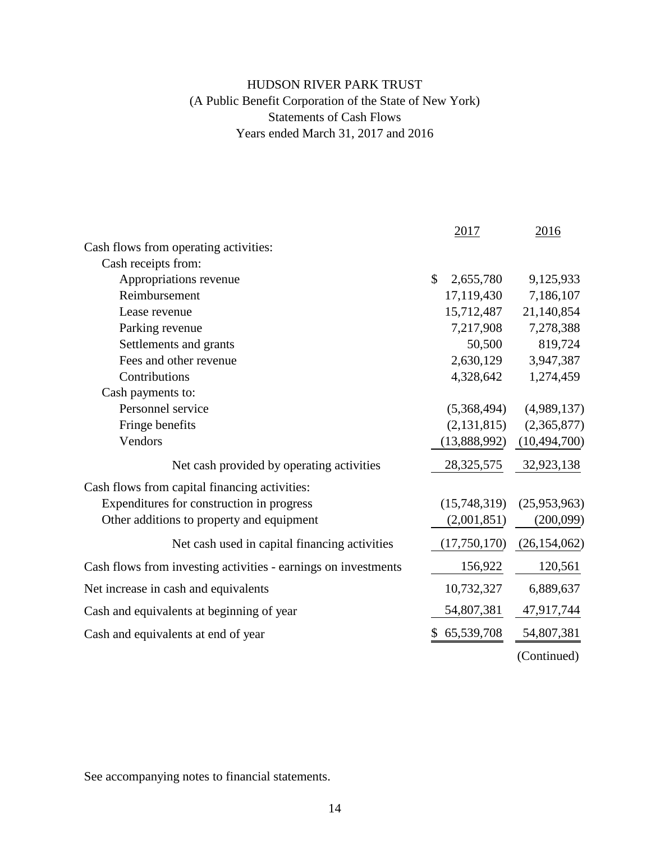# (A Public Benefit Corporation of the State of New York) Years ended March 31, 2017 and 2016 HUDSON RIVER PARK TRUST Statements of Cash Flows

|                                                                | 2017                       | 2016           |
|----------------------------------------------------------------|----------------------------|----------------|
| Cash flows from operating activities:                          |                            |                |
| Cash receipts from:                                            |                            |                |
| Appropriations revenue                                         | $\mathcal{S}$<br>2,655,780 | 9,125,933      |
| Reimbursement                                                  | 17,119,430                 | 7,186,107      |
| Lease revenue                                                  | 15,712,487                 | 21,140,854     |
| Parking revenue                                                | 7,217,908                  | 7,278,388      |
| Settlements and grants                                         | 50,500                     | 819,724        |
| Fees and other revenue                                         | 2,630,129                  | 3,947,387      |
| Contributions                                                  | 4,328,642                  | 1,274,459      |
| Cash payments to:                                              |                            |                |
| Personnel service                                              | (5,368,494)                | (4,989,137)    |
| Fringe benefits                                                | (2,131,815)                | (2,365,877)    |
| Vendors                                                        | (13,888,992)               | (10, 494, 700) |
| Net cash provided by operating activities                      | 28,325,575                 | 32,923,138     |
| Cash flows from capital financing activities:                  |                            |                |
| Expenditures for construction in progress                      | (15,748,319)               | (25,953,963)   |
| Other additions to property and equipment                      | (2,001,851)                | (200,099)      |
| Net cash used in capital financing activities                  | (17,750,170)               | (26, 154, 062) |
| Cash flows from investing activities - earnings on investments | 156,922                    | 120,561        |
| Net increase in cash and equivalents                           | 10,732,327                 | 6,889,637      |
| Cash and equivalents at beginning of year                      | 54,807,381                 | 47,917,744     |
| Cash and equivalents at end of year                            | \$ 65,539,708              | 54,807,381     |
|                                                                |                            | (Continued)    |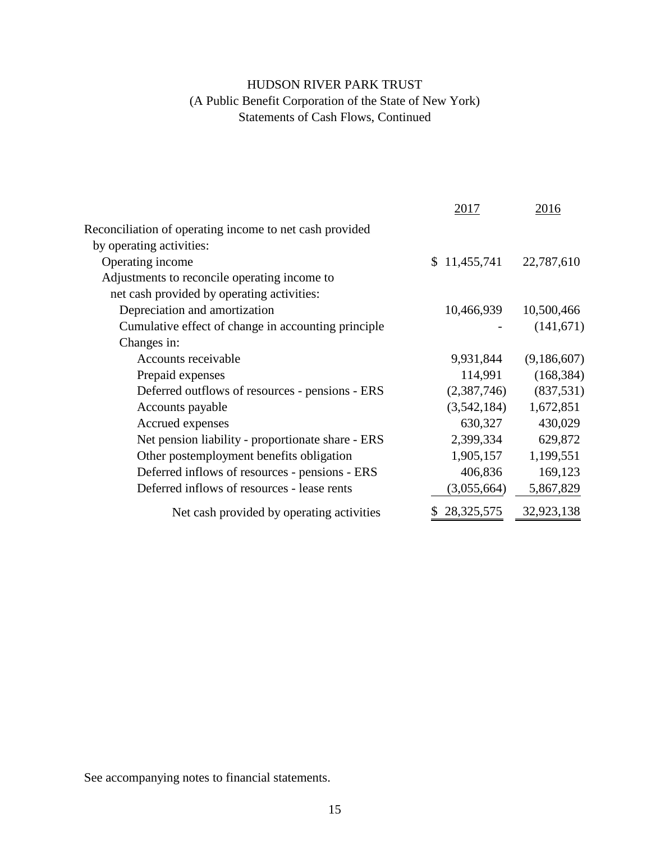# HUDSON RIVER PARK TRUST (A Public Benefit Corporation of the State of New York) Statements of Cash Flows, Continued

| Reconciliation of operating income to net cash provided        |             |
|----------------------------------------------------------------|-------------|
| by operating activities:                                       |             |
| Operating income<br>\$11,455,741                               | 22,787,610  |
| Adjustments to reconcile operating income to                   |             |
| net cash provided by operating activities:                     |             |
| 10,466,939<br>Depreciation and amortization                    | 10,500,466  |
| Cumulative effect of change in accounting principle            | (141,671)   |
| Changes in:                                                    |             |
| 9,931,844<br>Accounts receivable                               | (9,186,607) |
| 114,991<br>Prepaid expenses                                    | (168, 384)  |
| (2,387,746)<br>Deferred outflows of resources - pensions - ERS | (837, 531)  |
| (3,542,184)<br>Accounts payable                                | 1,672,851   |
| 630,327<br>Accrued expenses                                    | 430,029     |
| 2,399,334<br>Net pension liability - proportionate share - ERS | 629,872     |
| 1,905,157<br>Other postemployment benefits obligation          | 1,199,551   |
| 406,836<br>Deferred inflows of resources - pensions - ERS      | 169,123     |
| Deferred inflows of resources - lease rents<br>(3,055,664)     | 5,867,829   |
| 28, 325, 575<br>S<br>Net cash provided by operating activities | 32,923,138  |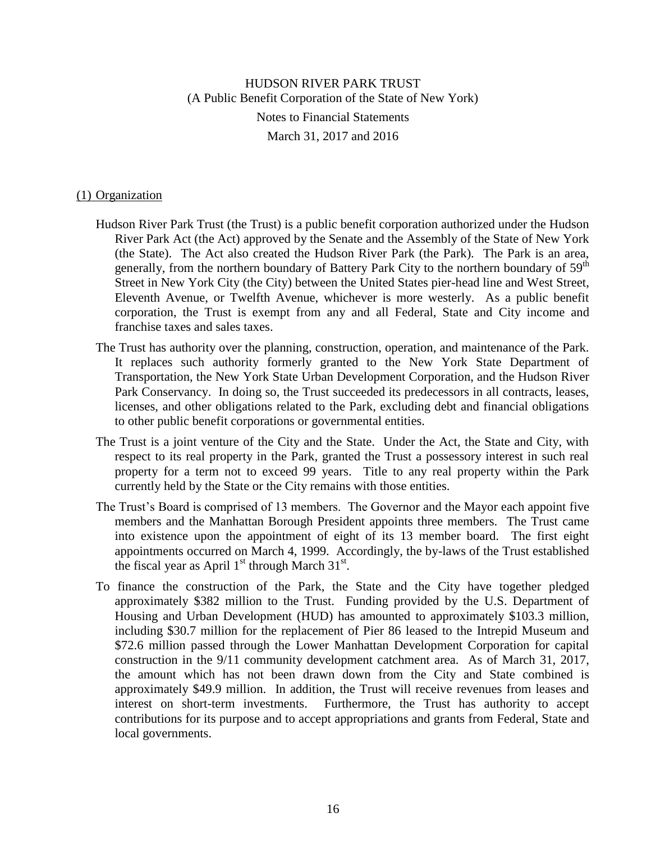### (1) Organization

- Hudson River Park Trust (the Trust) is a public benefit corporation authorized under the Hudson River Park Act (the Act) approved by the Senate and the Assembly of the State of New York (the State). The Act also created the Hudson River Park (the Park). The Park is an area, generally, from the northern boundary of Battery Park City to the northern boundary of 59<sup>th</sup> Street in New York City (the City) between the United States pier-head line and West Street, Eleventh Avenue, or Twelfth Avenue, whichever is more westerly. As a public benefit corporation, the Trust is exempt from any and all Federal, State and City income and franchise taxes and sales taxes.
- The Trust has authority over the planning, construction, operation, and maintenance of the Park. It replaces such authority formerly granted to the New York State Department of Transportation, the New York State Urban Development Corporation, and the Hudson River Park Conservancy. In doing so, the Trust succeeded its predecessors in all contracts, leases, licenses, and other obligations related to the Park, excluding debt and financial obligations to other public benefit corporations or governmental entities.
- The Trust is a joint venture of the City and the State. Under the Act, the State and City, with respect to its real property in the Park, granted the Trust a possessory interest in such real property for a term not to exceed 99 years. Title to any real property within the Park currently held by the State or the City remains with those entities.
- The Trust's Board is comprised of 13 members. The Governor and the Mayor each appoint five members and the Manhattan Borough President appoints three members. The Trust came into existence upon the appointment of eight of its 13 member board. The first eight appointments occurred on March 4, 1999. Accordingly, the by-laws of the Trust established the fiscal year as April  $1<sup>st</sup>$  through March  $31<sup>st</sup>$ .
- To finance the construction of the Park, the State and the City have together pledged approximately \$382 million to the Trust. Funding provided by the U.S. Department of Housing and Urban Development (HUD) has amounted to approximately \$103.3 million, including \$30.7 million for the replacement of Pier 86 leased to the Intrepid Museum and \$72.6 million passed through the Lower Manhattan Development Corporation for capital construction in the 9/11 community development catchment area. As of March 31, 2017, the amount which has not been drawn down from the City and State combined is approximately \$49.9 million. In addition, the Trust will receive revenues from leases and interest on short-term investments. Furthermore, the Trust has authority to accept contributions for its purpose and to accept appropriations and grants from Federal, State and local governments.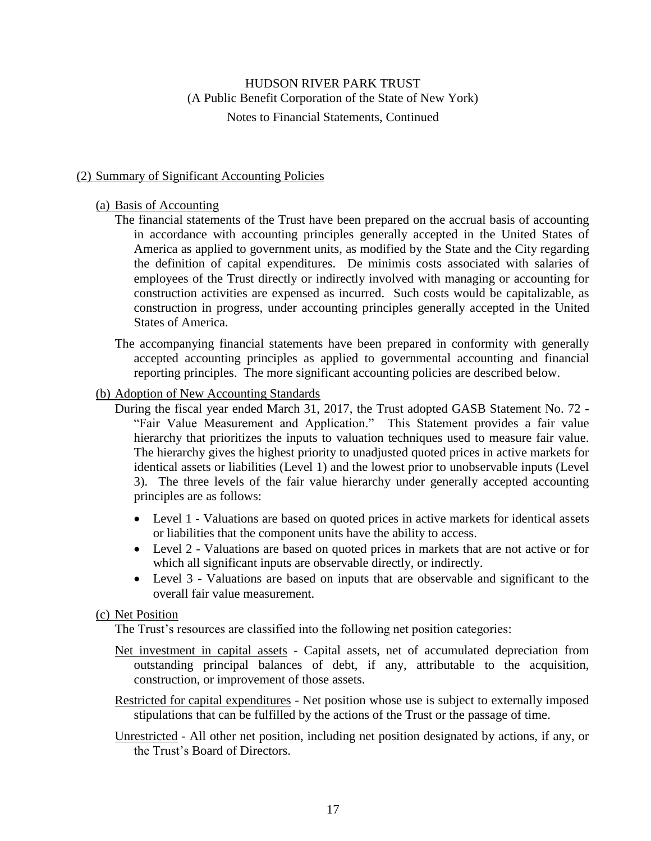## (2) Summary of Significant Accounting Policies

### (a) Basis of Accounting

The financial statements of the Trust have been prepared on the accrual basis of accounting in accordance with accounting principles generally accepted in the United States of America as applied to government units, as modified by the State and the City regarding the definition of capital expenditures. De minimis costs associated with salaries of employees of the Trust directly or indirectly involved with managing or accounting for construction activities are expensed as incurred. Such costs would be capitalizable, as construction in progress, under accounting principles generally accepted in the United States of America.

The accompanying financial statements have been prepared in conformity with generally accepted accounting principles as applied to governmental accounting and financial reporting principles. The more significant accounting policies are described below.

### (b) Adoption of New Accounting Standards

- During the fiscal year ended March 31, 2017, the Trust adopted GASB Statement No. 72 "Fair Value Measurement and Application." This Statement provides a fair value hierarchy that prioritizes the inputs to valuation techniques used to measure fair value. The hierarchy gives the highest priority to unadjusted quoted prices in active markets for identical assets or liabilities (Level 1) and the lowest prior to unobservable inputs (Level 3). The three levels of the fair value hierarchy under generally accepted accounting principles are as follows:
	- Level 1 Valuations are based on quoted prices in active markets for identical assets or liabilities that the component units have the ability to access.
	- Level 2 Valuations are based on quoted prices in markets that are not active or for which all significant inputs are observable directly, or indirectly.
	- Level 3 Valuations are based on inputs that are observable and significant to the overall fair value measurement.

### (c) Net Position

The Trust's resources are classified into the following net position categories:

- Net investment in capital assets Capital assets, net of accumulated depreciation from outstanding principal balances of debt, if any, attributable to the acquisition, construction, or improvement of those assets.
- Restricted for capital expenditures Net position whose use is subject to externally imposed stipulations that can be fulfilled by the actions of the Trust or the passage of time.
- Unrestricted All other net position, including net position designated by actions, if any, or the Trust's Board of Directors.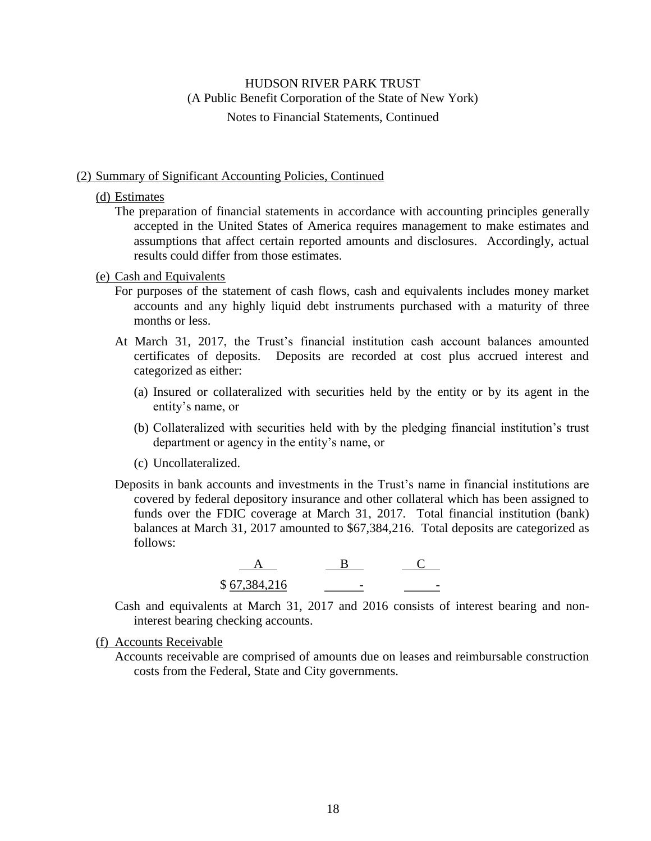### (2) Summary of Significant Accounting Policies, Continued

#### (d) Estimates

The preparation of financial statements in accordance with accounting principles generally accepted in the United States of America requires management to make estimates and assumptions that affect certain reported amounts and disclosures. Accordingly, actual results could differ from those estimates.

#### (e) Cash and Equivalents

- For purposes of the statement of cash flows, cash and equivalents includes money market accounts and any highly liquid debt instruments purchased with a maturity of three months or less.
- At March 31, 2017, the Trust's financial institution cash account balances amounted certificates of deposits. Deposits are recorded at cost plus accrued interest and categorized as either:
	- (a) Insured or collateralized with securities held by the entity or by its agent in the entity's name, or
	- (b) Collateralized with securities held with by the pledging financial institution's trust department or agency in the entity's name, or
	- (c) Uncollateralized.
- Deposits in bank accounts and investments in the Trust's name in financial institutions are covered by federal depository insurance and other collateral which has been assigned to funds over the FDIC coverage at March 31, 2017. Total financial institution (bank) balances at March 31, 2017 amounted to \$67,384,216. Total deposits are categorized as follows:



Cash and equivalents at March 31, 2017 and 2016 consists of interest bearing and noninterest bearing checking accounts.

(f) Accounts Receivable

Accounts receivable are comprised of amounts due on leases and reimbursable construction costs from the Federal, State and City governments.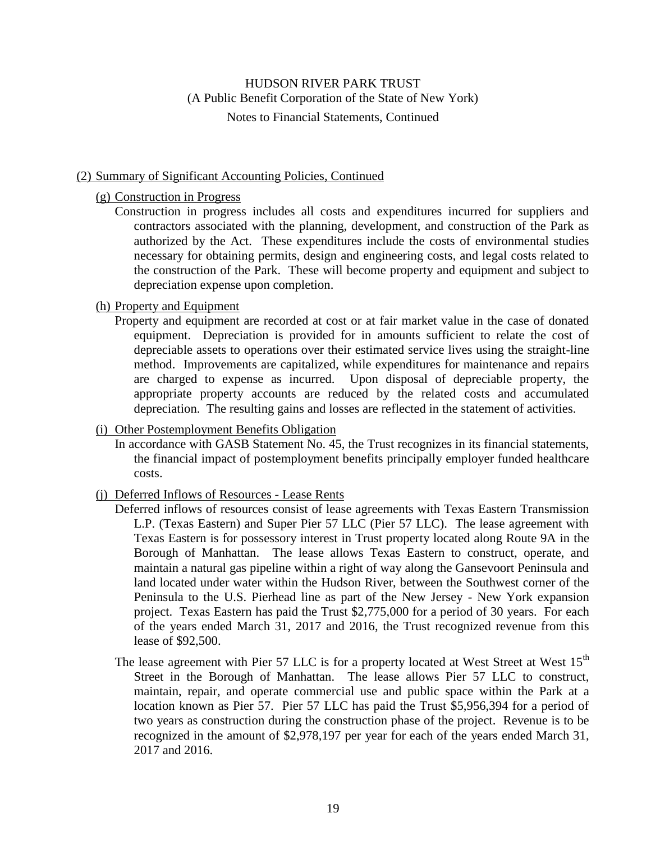### (2) Summary of Significant Accounting Policies, Continued

## (g) Construction in Progress

Construction in progress includes all costs and expenditures incurred for suppliers and contractors associated with the planning, development, and construction of the Park as authorized by the Act. These expenditures include the costs of environmental studies necessary for obtaining permits, design and engineering costs, and legal costs related to the construction of the Park. These will become property and equipment and subject to depreciation expense upon completion.

## (h) Property and Equipment

Property and equipment are recorded at cost or at fair market value in the case of donated equipment. Depreciation is provided for in amounts sufficient to relate the cost of depreciable assets to operations over their estimated service lives using the straight-line method. Improvements are capitalized, while expenditures for maintenance and repairs are charged to expense as incurred. Upon disposal of depreciable property, the appropriate property accounts are reduced by the related costs and accumulated depreciation. The resulting gains and losses are reflected in the statement of activities.

### (i) Other Postemployment Benefits Obligation

In accordance with GASB Statement No. 45, the Trust recognizes in its financial statements, the financial impact of postemployment benefits principally employer funded healthcare costs.

## (j) Deferred Inflows of Resources - Lease Rents

- Deferred inflows of resources consist of lease agreements with Texas Eastern Transmission L.P. (Texas Eastern) and Super Pier 57 LLC (Pier 57 LLC). The lease agreement with Texas Eastern is for possessory interest in Trust property located along Route 9A in the Borough of Manhattan. The lease allows Texas Eastern to construct, operate, and maintain a natural gas pipeline within a right of way along the Gansevoort Peninsula and land located under water within the Hudson River, between the Southwest corner of the Peninsula to the U.S. Pierhead line as part of the New Jersey - New York expansion project. Texas Eastern has paid the Trust \$2,775,000 for a period of 30 years. For each of the years ended March 31, 2017 and 2016, the Trust recognized revenue from this lease of \$92,500.
- The lease agreement with Pier 57 LLC is for a property located at West Street at West  $15<sup>th</sup>$ Street in the Borough of Manhattan. The lease allows Pier 57 LLC to construct, maintain, repair, and operate commercial use and public space within the Park at a location known as Pier 57. Pier 57 LLC has paid the Trust \$5,956,394 for a period of two years as construction during the construction phase of the project. Revenue is to be recognized in the amount of \$2,978,197 per year for each of the years ended March 31, 2017 and 2016.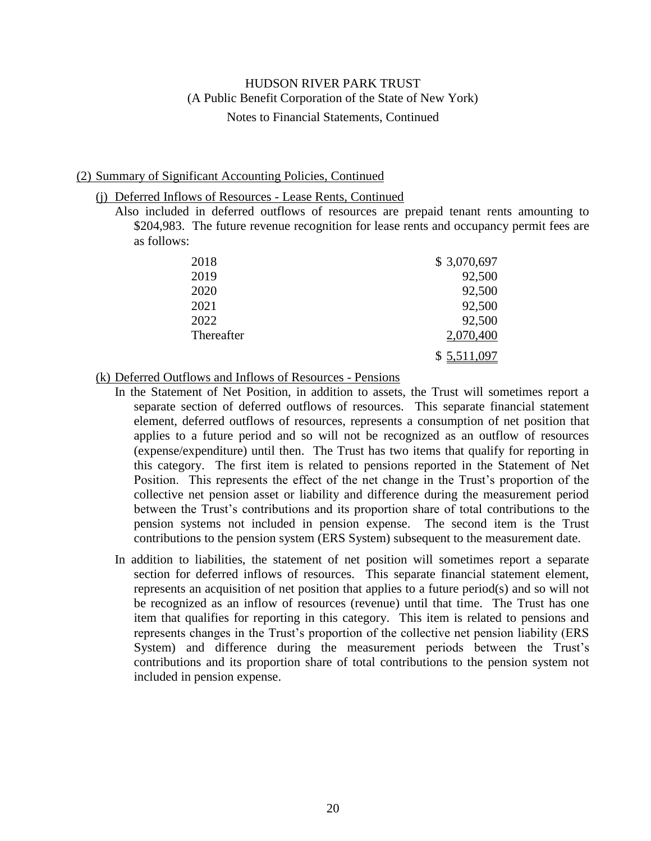### (2) Summary of Significant Accounting Policies, Continued

- (j) Deferred Inflows of Resources Lease Rents, Continued
	- Also included in deferred outflows of resources are prepaid tenant rents amounting to \$204,983. The future revenue recognition for lease rents and occupancy permit fees are as follows:

| 2018       | \$3,070,697 |
|------------|-------------|
| 2019       | 92,500      |
| 2020       | 92,500      |
| 2021       | 92,500      |
| 2022       | 92,500      |
| Thereafter | 2,070,400   |
|            | \$5,511,097 |

### (k) Deferred Outflows and Inflows of Resources - Pensions

- In the Statement of Net Position, in addition to assets, the Trust will sometimes report a separate section of deferred outflows of resources. This separate financial statement element, deferred outflows of resources, represents a consumption of net position that applies to a future period and so will not be recognized as an outflow of resources (expense/expenditure) until then. The Trust has two items that qualify for reporting in this category. The first item is related to pensions reported in the Statement of Net Position. This represents the effect of the net change in the Trust's proportion of the collective net pension asset or liability and difference during the measurement period between the Trust's contributions and its proportion share of total contributions to the pension systems not included in pension expense. The second item is the Trust contributions to the pension system (ERS System) subsequent to the measurement date.
- In addition to liabilities, the statement of net position will sometimes report a separate section for deferred inflows of resources. This separate financial statement element, represents an acquisition of net position that applies to a future period(s) and so will not be recognized as an inflow of resources (revenue) until that time. The Trust has one item that qualifies for reporting in this category. This item is related to pensions and represents changes in the Trust's proportion of the collective net pension liability (ERS System) and difference during the measurement periods between the Trust's contributions and its proportion share of total contributions to the pension system not included in pension expense.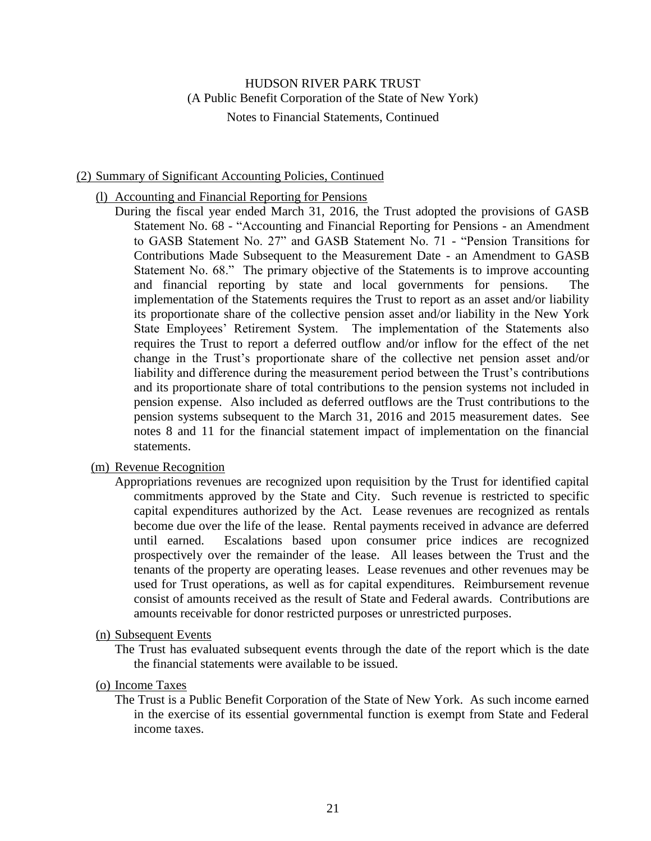### (2) Summary of Significant Accounting Policies, Continued

### (l) Accounting and Financial Reporting for Pensions

During the fiscal year ended March 31, 2016, the Trust adopted the provisions of GASB Statement No. 68 - "Accounting and Financial Reporting for Pensions - an Amendment to GASB Statement No. 27" and GASB Statement No. 71 - "Pension Transitions for Contributions Made Subsequent to the Measurement Date - an Amendment to GASB Statement No. 68." The primary objective of the Statements is to improve accounting and financial reporting by state and local governments for pensions. The implementation of the Statements requires the Trust to report as an asset and/or liability its proportionate share of the collective pension asset and/or liability in the New York State Employees' Retirement System. The implementation of the Statements also requires the Trust to report a deferred outflow and/or inflow for the effect of the net change in the Trust's proportionate share of the collective net pension asset and/or liability and difference during the measurement period between the Trust's contributions and its proportionate share of total contributions to the pension systems not included in pension expense. Also included as deferred outflows are the Trust contributions to the pension systems subsequent to the March 31, 2016 and 2015 measurement dates. See notes 8 and 11 for the financial statement impact of implementation on the financial statements.

### (m) Revenue Recognition

Appropriations revenues are recognized upon requisition by the Trust for identified capital commitments approved by the State and City. Such revenue is restricted to specific capital expenditures authorized by the Act. Lease revenues are recognized as rentals become due over the life of the lease. Rental payments received in advance are deferred until earned. Escalations based upon consumer price indices are recognized prospectively over the remainder of the lease. All leases between the Trust and the tenants of the property are operating leases. Lease revenues and other revenues may be used for Trust operations, as well as for capital expenditures. Reimbursement revenue consist of amounts received as the result of State and Federal awards. Contributions are amounts receivable for donor restricted purposes or unrestricted purposes.

#### (n) Subsequent Events

The Trust has evaluated subsequent events through the date of the report which is the date the financial statements were available to be issued.

#### (o) Income Taxes

The Trust is a Public Benefit Corporation of the State of New York. As such income earned in the exercise of its essential governmental function is exempt from State and Federal income taxes.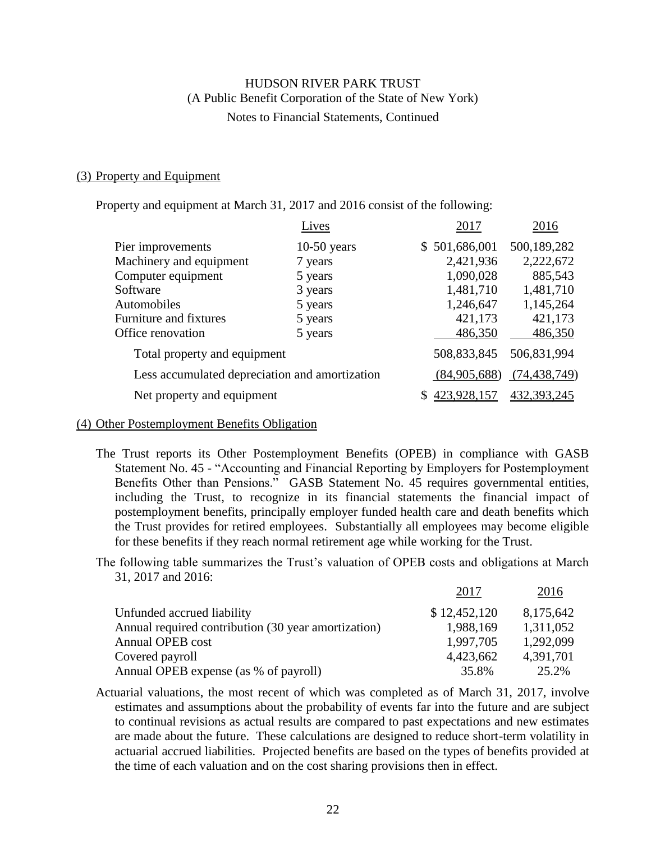### (3) Property and Equipment

Property and equipment at March 31, 2017 and 2016 consist of the following:

|                                                | Lives         | 2017          | 2016           |
|------------------------------------------------|---------------|---------------|----------------|
| Pier improvements                              | $10-50$ years | \$501,686,001 | 500,189,282    |
| Machinery and equipment                        | 7 years       | 2,421,936     | 2,222,672      |
| Computer equipment                             | 5 years       | 1,090,028     | 885,543        |
| Software                                       | 3 years       | 1,481,710     | 1,481,710      |
| Automobiles                                    | 5 years       | 1,246,647     | 1,145,264      |
| <b>Furniture and fixtures</b>                  | 5 years       | 421,173       | 421,173        |
| Office renovation                              | 5 years       | 486,350       | 486,350        |
| Total property and equipment                   |               | 508,833,845   | 506,831,994    |
| Less accumulated depreciation and amortization |               | (84,905,688)  | (74, 438, 749) |
| Net property and equipment                     |               | 423,928,157   | 432,393,245    |

### (4) Other Postemployment Benefits Obligation

- The Trust reports its Other Postemployment Benefits (OPEB) in compliance with GASB Statement No. 45 - "Accounting and Financial Reporting by Employers for Postemployment Benefits Other than Pensions." GASB Statement No. 45 requires governmental entities, including the Trust, to recognize in its financial statements the financial impact of postemployment benefits, principally employer funded health care and death benefits which the Trust provides for retired employees. Substantially all employees may become eligible for these benefits if they reach normal retirement age while working for the Trust.
- The following table summarizes the Trust's valuation of OPEB costs and obligations at March 31, 2017 and 2016:

|                                                     | 2017         | 2016      |
|-----------------------------------------------------|--------------|-----------|
| Unfunded accrued liability                          | \$12,452,120 | 8,175,642 |
| Annual required contribution (30 year amortization) | 1,988,169    | 1,311,052 |
| <b>Annual OPEB cost</b>                             | 1,997,705    | 1,292,099 |
| Covered payroll                                     | 4,423,662    | 4,391,701 |
| Annual OPEB expense (as % of payroll)               | 35.8%        | 25.2%     |

Actuarial valuations, the most recent of which was completed as of March 31, 2017, involve estimates and assumptions about the probability of events far into the future and are subject to continual revisions as actual results are compared to past expectations and new estimates are made about the future. These calculations are designed to reduce short-term volatility in actuarial accrued liabilities. Projected benefits are based on the types of benefits provided at the time of each valuation and on the cost sharing provisions then in effect.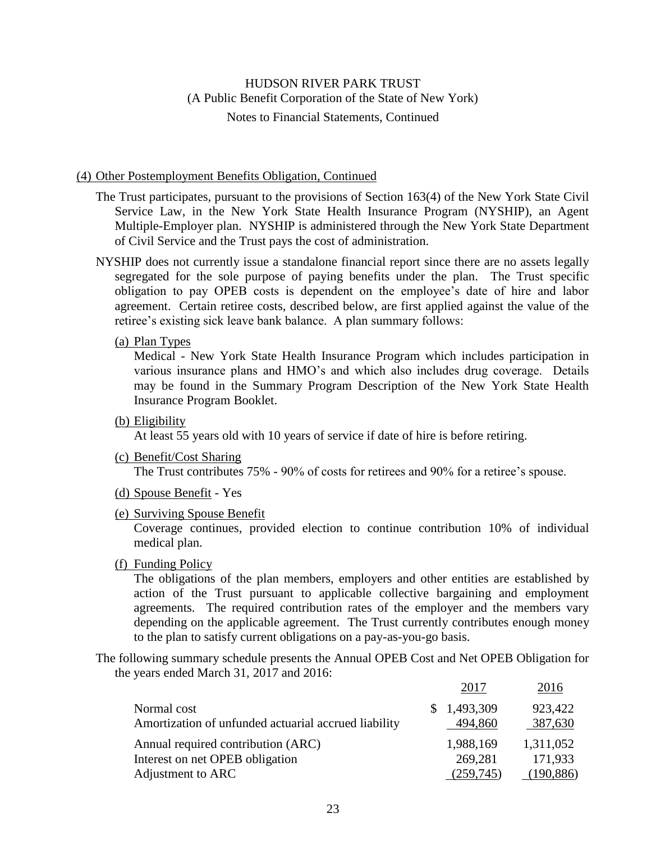### (4) Other Postemployment Benefits Obligation, Continued

- The Trust participates, pursuant to the provisions of Section 163(4) of the New York State Civil Service Law, in the New York State Health Insurance Program (NYSHIP), an Agent Multiple-Employer plan. NYSHIP is administered through the New York State Department of Civil Service and the Trust pays the cost of administration.
- NYSHIP does not currently issue a standalone financial report since there are no assets legally segregated for the sole purpose of paying benefits under the plan. The Trust specific obligation to pay OPEB costs is dependent on the employee's date of hire and labor agreement. Certain retiree costs, described below, are first applied against the value of the retiree's existing sick leave bank balance. A plan summary follows:

### (a) Plan Types

Medical - New York State Health Insurance Program which includes participation in various insurance plans and HMO's and which also includes drug coverage. Details may be found in the Summary Program Description of the New York State Health Insurance Program Booklet.

(b) Eligibility

At least 55 years old with 10 years of service if date of hire is before retiring.

(c) Benefit/Cost Sharing

The Trust contributes 75% - 90% of costs for retirees and 90% for a retiree's spouse.

(d) Spouse Benefit - Yes

### (e) Surviving Spouse Benefit

Coverage continues, provided election to continue contribution 10% of individual medical plan.

(f) Funding Policy

The obligations of the plan members, employers and other entities are established by action of the Trust pursuant to applicable collective bargaining and employment agreements. The required contribution rates of the employer and the members vary depending on the applicable agreement. The Trust currently contributes enough money to the plan to satisfy current obligations on a pay-as-you-go basis.

The following summary schedule presents the Annual OPEB Cost and Net OPEB Obligation for the years ended March 31, 2017 and 2016:

|                                                      | 2017                      | 2016       |
|------------------------------------------------------|---------------------------|------------|
| Normal cost                                          | 1,493,309<br><sup>S</sup> | 923,422    |
| Amortization of unfunded actuarial accrued liability | 494,860                   | 387,630    |
| Annual required contribution (ARC)                   | 1,988,169                 | 1,311,052  |
| Interest on net OPEB obligation                      | 269,281                   | 171,933    |
| Adjustment to ARC                                    | (259,745)                 | (190, 886) |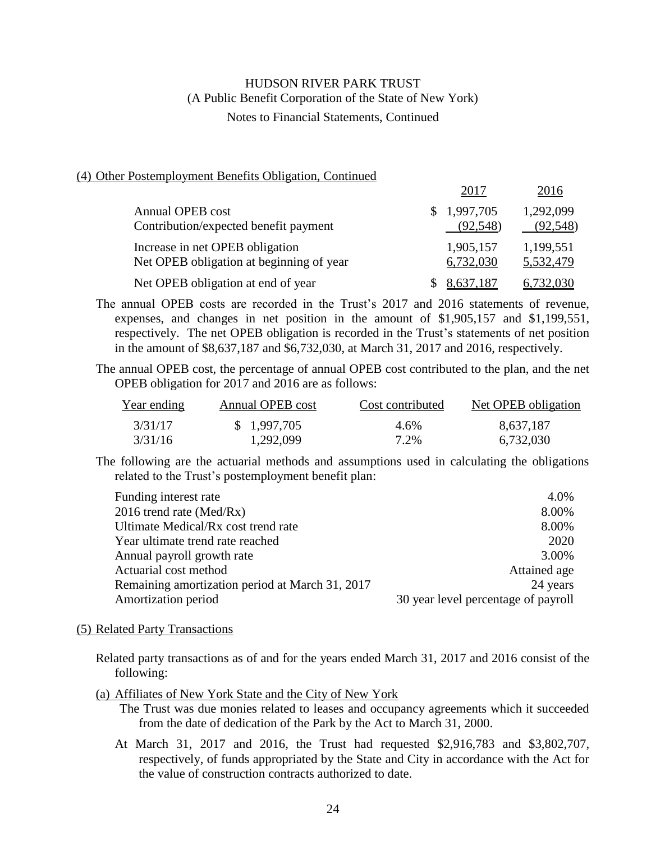### (4) Other Postemployment Benefits Obligation, Continued

|                                          | 2017      | 2016      |
|------------------------------------------|-----------|-----------|
| Annual OPEB cost                         | 1,997,705 | 1,292,099 |
| Contribution/expected benefit payment    | (92, 548) | (92, 548) |
| Increase in net OPEB obligation          | 1,905,157 | 1,199,551 |
| Net OPEB obligation at beginning of year | 6,732,030 | 5,532,479 |
| Net OPEB obligation at end of year       | 8,637,187 | 6.732.030 |

- The annual OPEB costs are recorded in the Trust's 2017 and 2016 statements of revenue, expenses, and changes in net position in the amount of \$1,905,157 and \$1,199,551, respectively. The net OPEB obligation is recorded in the Trust's statements of net position in the amount of \$8,637,187 and \$6,732,030, at March 31, 2017 and 2016, respectively.
- The annual OPEB cost, the percentage of annual OPEB cost contributed to the plan, and the net OPEB obligation for 2017 and 2016 are as follows:

| <u>Year ending</u> | Annual OPEB cost | Cost contributed | Net OPEB obligation |
|--------------------|------------------|------------------|---------------------|
| 3/31/17            | \$ 1,997,705     | 4.6%             | 8,637,187           |
| 3/31/16            | 1,292,099        | 7.2%             | 6,732,030           |

The following are the actuarial methods and assumptions used in calculating the obligations related to the Trust's postemployment benefit plan:

| Funding interest rate                           | 4.0%                                |
|-------------------------------------------------|-------------------------------------|
| $2016$ trend rate (Med/Rx)                      | 8.00%                               |
| Ultimate Medical/Rx cost trend rate             | 8.00%                               |
| Year ultimate trend rate reached                | 2020                                |
| Annual payroll growth rate                      | 3.00%                               |
| Actuarial cost method                           | Attained age                        |
| Remaining amortization period at March 31, 2017 | 24 years                            |
| Amortization period                             | 30 year level percentage of payroll |

#### (5) Related Party Transactions

Related party transactions as of and for the years ended March 31, 2017 and 2016 consist of the following:

- (a) Affiliates of New York State and the City of New York
	- The Trust was due monies related to leases and occupancy agreements which it succeeded from the date of dedication of the Park by the Act to March 31, 2000.
	- At March 31, 2017 and 2016, the Trust had requested \$2,916,783 and \$3,802,707, respectively, of funds appropriated by the State and City in accordance with the Act for the value of construction contracts authorized to date.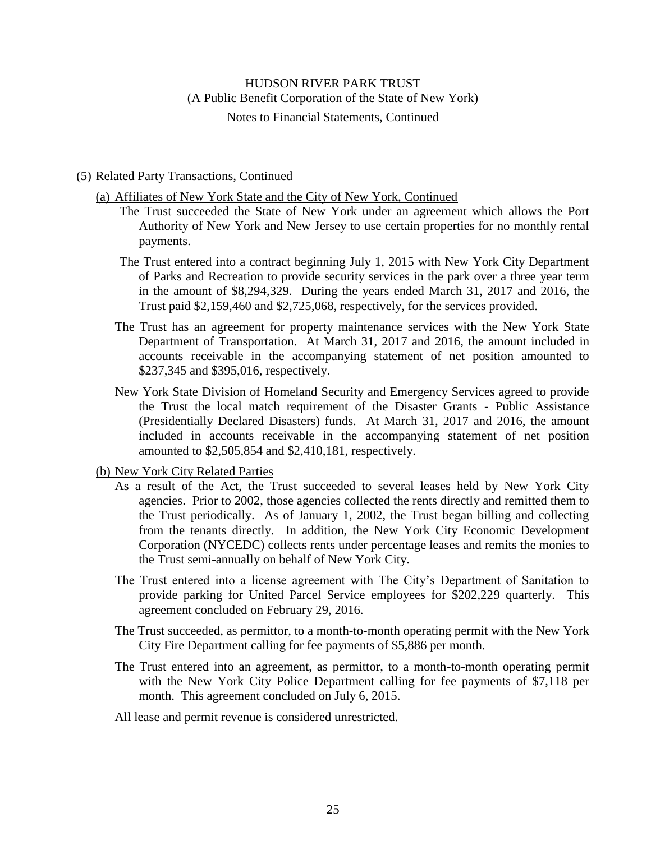### (5) Related Party Transactions, Continued

- (a) Affiliates of New York State and the City of New York, Continued
	- The Trust succeeded the State of New York under an agreement which allows the Port Authority of New York and New Jersey to use certain properties for no monthly rental payments.
	- The Trust entered into a contract beginning July 1, 2015 with New York City Department of Parks and Recreation to provide security services in the park over a three year term in the amount of \$8,294,329. During the years ended March 31, 2017 and 2016, the Trust paid \$2,159,460 and \$2,725,068, respectively, for the services provided.
	- The Trust has an agreement for property maintenance services with the New York State Department of Transportation. At March 31, 2017 and 2016, the amount included in accounts receivable in the accompanying statement of net position amounted to \$237,345 and \$395,016, respectively.
	- New York State Division of Homeland Security and Emergency Services agreed to provide the Trust the local match requirement of the Disaster Grants - Public Assistance (Presidentially Declared Disasters) funds. At March 31, 2017 and 2016, the amount included in accounts receivable in the accompanying statement of net position amounted to \$2,505,854 and \$2,410,181, respectively.
- (b) New York City Related Parties
	- As a result of the Act, the Trust succeeded to several leases held by New York City agencies. Prior to 2002, those agencies collected the rents directly and remitted them to the Trust periodically. As of January 1, 2002, the Trust began billing and collecting from the tenants directly. In addition, the New York City Economic Development Corporation (NYCEDC) collects rents under percentage leases and remits the monies to the Trust semi-annually on behalf of New York City.
	- The Trust entered into a license agreement with The City's Department of Sanitation to provide parking for United Parcel Service employees for \$202,229 quarterly. This agreement concluded on February 29, 2016.
	- The Trust succeeded, as permittor, to a month-to-month operating permit with the New York City Fire Department calling for fee payments of \$5,886 per month.
	- The Trust entered into an agreement, as permittor, to a month-to-month operating permit with the New York City Police Department calling for fee payments of \$7,118 per month. This agreement concluded on July 6, 2015.
	- All lease and permit revenue is considered unrestricted.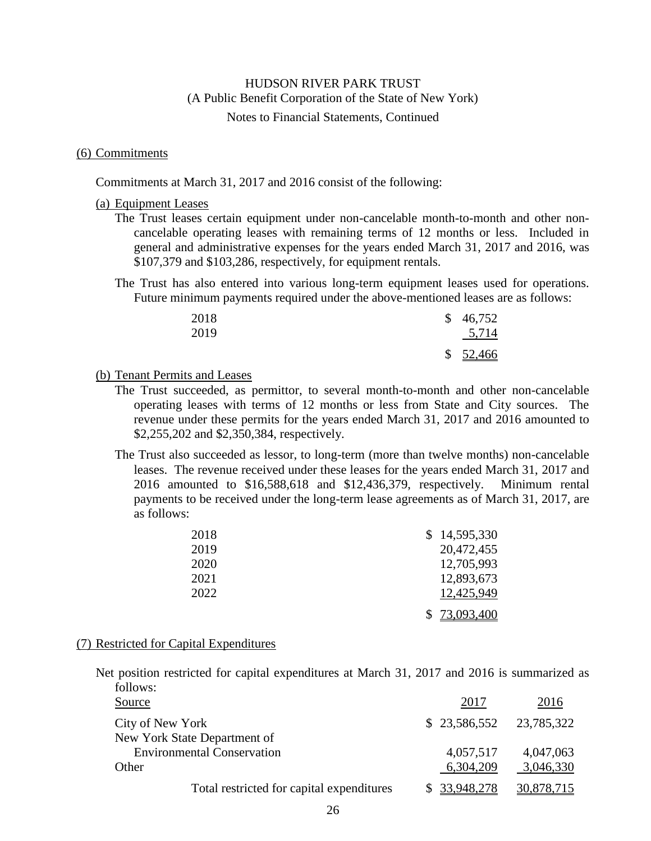#### (6) Commitments

Commitments at March 31, 2017 and 2016 consist of the following:

#### (a) Equipment Leases

- The Trust leases certain equipment under non-cancelable month-to-month and other noncancelable operating leases with remaining terms of 12 months or less. Included in general and administrative expenses for the years ended March 31, 2017 and 2016, was \$107,379 and \$103,286, respectively, for equipment rentals.
- The Trust has also entered into various long-term equipment leases used for operations. Future minimum payments required under the above-mentioned leases are as follows:

| 2018 | \$46,752  |
|------|-----------|
| 2019 | 5,714     |
|      | \$ 52,466 |

#### (b) Tenant Permits and Leases

- The Trust succeeded, as permittor, to several month-to-month and other non-cancelable operating leases with terms of 12 months or less from State and City sources. The revenue under these permits for the years ended March 31, 2017 and 2016 amounted to \$2,255,202 and \$2,350,384, respectively.
- The Trust also succeeded as lessor, to long-term (more than twelve months) non-cancelable leases. The revenue received under these leases for the years ended March 31, 2017 and 2016 amounted to \$16,588,618 and \$12,436,379, respectively. Minimum rental payments to be received under the long-term lease agreements as of March 31, 2017, are as follows:

| 2018 | \$14,595,330 |
|------|--------------|
| 2019 | 20,472,455   |
| 2020 | 12,705,993   |
| 2021 | 12,893,673   |
| 2022 | 12,425,949   |
|      | \$73,093,400 |

#### (7) Restricted for Capital Expenditures

Net position restricted for capital expenditures at March 31, 2017 and 2016 is summarized as follows:

| Source                                    | 2017                       | 2016              |
|-------------------------------------------|----------------------------|-------------------|
| City of New York                          | $$23,586,552$ $23,785,322$ |                   |
| New York State Department of              |                            |                   |
| <b>Environmental Conservation</b>         | 4,057,517                  | 4,047,063         |
| Other                                     | 6,304,209                  | 3,046,330         |
| Total restricted for capital expenditures | \$33,948,278               | <u>30,878,715</u> |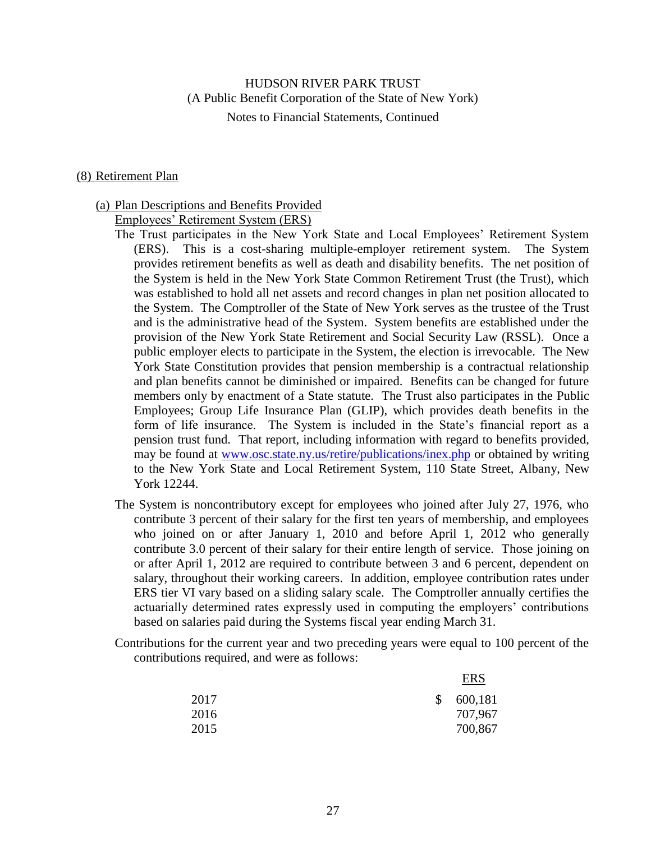#### (8) Retirement Plan

#### (a) Plan Descriptions and Benefits Provided Employees' Retirement System (ERS)

- The Trust participates in the New York State and Local Employees' Retirement System (ERS). This is a cost-sharing multiple-employer retirement system. The System provides retirement benefits as well as death and disability benefits. The net position of the System is held in the New York State Common Retirement Trust (the Trust), which was established to hold all net assets and record changes in plan net position allocated to the System. The Comptroller of the State of New York serves as the trustee of the Trust and is the administrative head of the System. System benefits are established under the provision of the New York State Retirement and Social Security Law (RSSL). Once a public employer elects to participate in the System, the election is irrevocable. The New York State Constitution provides that pension membership is a contractual relationship and plan benefits cannot be diminished or impaired. Benefits can be changed for future members only by enactment of a State statute. The Trust also participates in the Public Employees; Group Life Insurance Plan (GLIP), which provides death benefits in the form of life insurance. The System is included in the State's financial report as a pension trust fund. That report, including information with regard to benefits provided, may be found at [www.osc.state.ny.us/retire/publications/inex.php](http://www.osc.state.ny.us/retire/publications/inex.php) or obtained by writing to the New York State and Local Retirement System, 110 State Street, Albany, New York 12244.
- The System is noncontributory except for employees who joined after July 27, 1976, who contribute 3 percent of their salary for the first ten years of membership, and employees who joined on or after January 1, 2010 and before April 1, 2012 who generally contribute 3.0 percent of their salary for their entire length of service. Those joining on or after April 1, 2012 are required to contribute between 3 and 6 percent, dependent on salary, throughout their working careers. In addition, employee contribution rates under ERS tier VI vary based on a sliding salary scale. The Comptroller annually certifies the actuarially determined rates expressly used in computing the employers' contributions based on salaries paid during the Systems fiscal year ending March 31.
- Contributions for the current year and two preceding years were equal to 100 percent of the contributions required, and were as follows:

|      |              | <b>ERS</b> |
|------|--------------|------------|
| 2017 | $\mathbb{S}$ | 600,181    |
| 2016 |              | 707,967    |
| 2015 |              | 700,867    |
|      |              |            |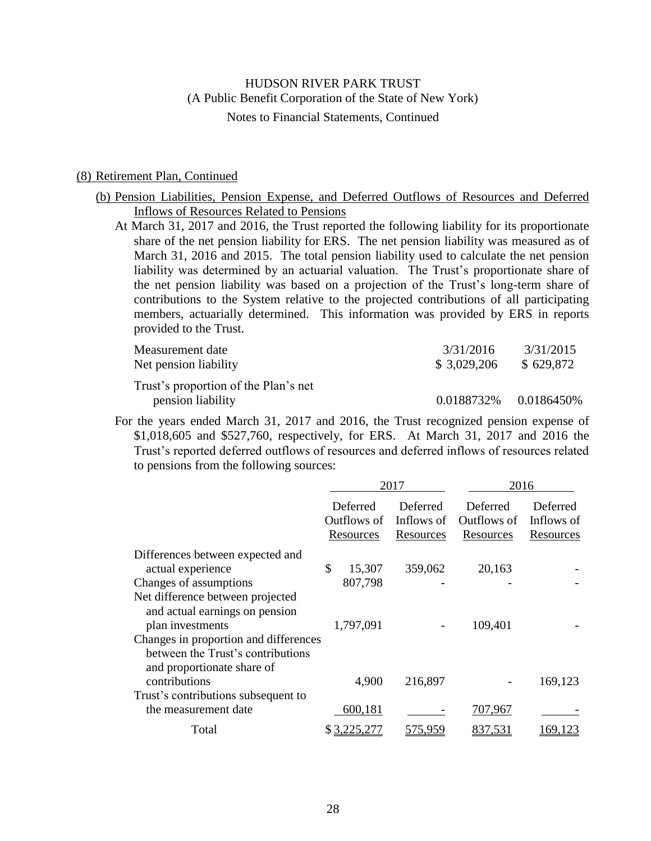#### (8) Retirement Plan, Continued

- (b) Pension Liabilities, Pension Expense, and Deferred Outflows of Resources and Deferred Inflows of Resources Related to Pensions
	- At March 31, 2017 and 2016, the Trust reported the following liability for its proportionate share of the net pension liability for ERS. The net pension liability was measured as of March 31, 2016 and 2015. The total pension liability used to calculate the net pension liability was determined by an actuarial valuation. The Trust's proportionate share of the net pension liability was based on a projection of the Trust's long-term share of contributions to the System relative to the projected contributions of all participating members, actuarially determined. This information was provided by ERS in reports provided to the Trust.

| Measurement date                     | 3/31/2016               | 3/31/2015 |
|--------------------------------------|-------------------------|-----------|
| Net pension liability                | \$3,029,206             | \$629,872 |
| Trust's proportion of the Plan's net |                         |           |
| pension liability                    | 0.0188732\% 0.0186450\% |           |

For the years ended March 31, 2017 and 2016, the Trust recognized pension expense of \$1,018,605 and \$527,760, respectively, for ERS. At March 31, 2017 and 2016 the Trust's reported deferred outflows of resources and deferred inflows of resources related to pensions from the following sources:

|                                                                                                                           | 2017 |                                      | 2016                                       |                                      |                                     |
|---------------------------------------------------------------------------------------------------------------------------|------|--------------------------------------|--------------------------------------------|--------------------------------------|-------------------------------------|
|                                                                                                                           |      | Deferred<br>Outflows of<br>Resources | <b>Deferred</b><br>Inflows of<br>Resources | Deferred<br>Outflows of<br>Resources | Deferred<br>Inflows of<br>Resources |
| Differences between expected and<br>actual experience<br>Changes of assumptions                                           | \$   | 15,307<br>807,798                    | 359,062                                    | 20,163                               |                                     |
| Net difference between projected<br>and actual earnings on pension<br>plan investments                                    |      | 1,797,091                            |                                            | 109,401                              |                                     |
| Changes in proportion and differences<br>between the Trust's contributions<br>and proportionate share of<br>contributions |      | 4,900                                | 216,897                                    |                                      | 169,123                             |
| Trust's contributions subsequent to<br>the measurement date                                                               |      | 600,181                              |                                            | 707,967                              |                                     |
| Total                                                                                                                     |      |                                      |                                            | 837.531                              |                                     |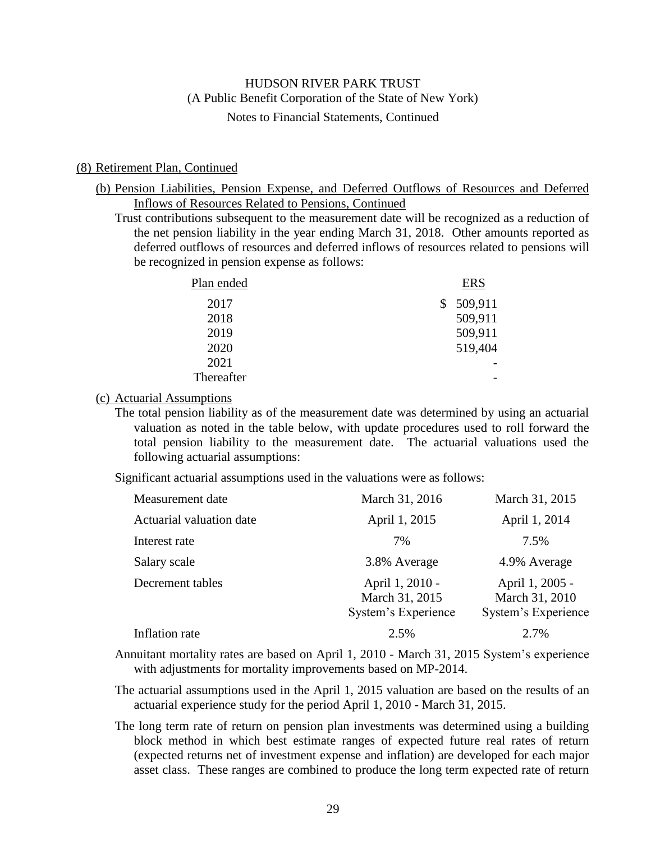#### (8) Retirement Plan, Continued

(b) Pension Liabilities, Pension Expense, and Deferred Outflows of Resources and Deferred Inflows of Resources Related to Pensions, Continued

Trust contributions subsequent to the measurement date will be recognized as a reduction of the net pension liability in the year ending March 31, 2018. Other amounts reported as deferred outflows of resources and deferred inflows of resources related to pensions will be recognized in pension expense as follows:

| Plan ended | <b>ERS</b>    |
|------------|---------------|
| 2017       | 509,911<br>\$ |
| 2018       | 509,911       |
| 2019       | 509,911       |
| 2020       | 519,404       |
| 2021       |               |
| Thereafter |               |

#### (c) Actuarial Assumptions

The total pension liability as of the measurement date was determined by using an actuarial valuation as noted in the table below, with update procedures used to roll forward the total pension liability to the measurement date. The actuarial valuations used the following actuarial assumptions:

Significant actuarial assumptions used in the valuations were as follows:

| Measurement date         | March 31, 2016                                           | March 31, 2015                                           |
|--------------------------|----------------------------------------------------------|----------------------------------------------------------|
| Actuarial valuation date | April 1, 2015                                            | April 1, 2014                                            |
| Interest rate            | 7%                                                       | 7.5%                                                     |
| Salary scale             | 3.8% Average                                             | 4.9% Average                                             |
| Decrement tables         | April 1, 2010 -<br>March 31, 2015<br>System's Experience | April 1, 2005 -<br>March 31, 2010<br>System's Experience |
| Inflation rate           | 2.5%                                                     | 2.7%                                                     |

Annuitant mortality rates are based on April 1, 2010 - March 31, 2015 System's experience with adjustments for mortality improvements based on MP-2014.

The actuarial assumptions used in the April 1, 2015 valuation are based on the results of an actuarial experience study for the period April 1, 2010 - March 31, 2015.

The long term rate of return on pension plan investments was determined using a building block method in which best estimate ranges of expected future real rates of return (expected returns net of investment expense and inflation) are developed for each major asset class. These ranges are combined to produce the long term expected rate of return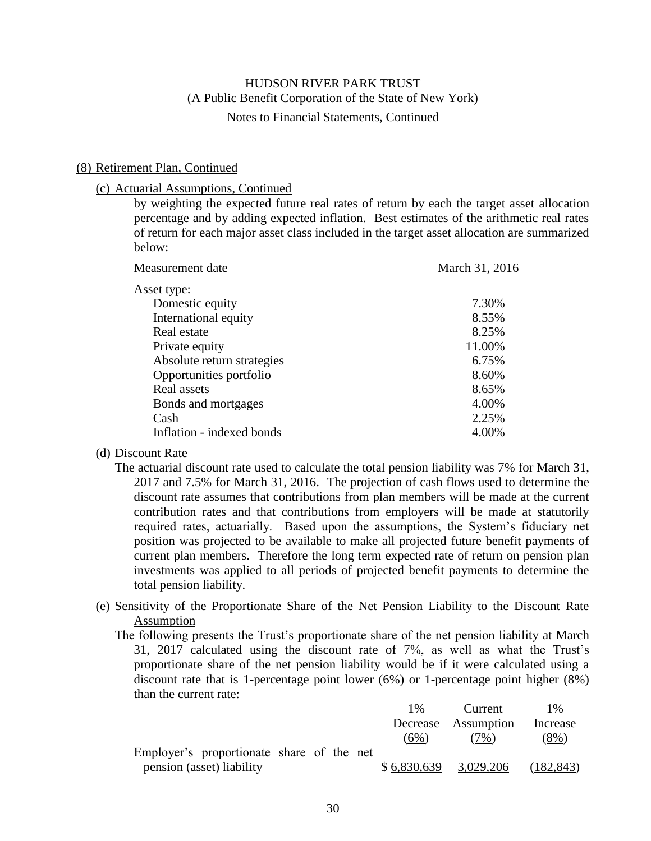### (8) Retirement Plan, Continued

#### (c) Actuarial Assumptions, Continued

by weighting the expected future real rates of return by each the target asset allocation percentage and by adding expected inflation. Best estimates of the arithmetic real rates of return for each major asset class included in the target asset allocation are summarized below:

| Measurement date           | March 31, 2016 |
|----------------------------|----------------|
| Asset type:                |                |
| Domestic equity            | 7.30%          |
| International equity       | 8.55%          |
| Real estate                | 8.25%          |
| Private equity             | 11.00%         |
| Absolute return strategies | 6.75%          |
| Opportunities portfolio    | 8.60%          |
| Real assets                | 8.65%          |
| Bonds and mortgages        | 4.00%          |
| Cash                       | 2.25%          |
| Inflation - indexed bonds  | 4.00%          |
|                            |                |

#### (d) Discount Rate

The actuarial discount rate used to calculate the total pension liability was 7% for March 31, 2017 and 7.5% for March 31, 2016. The projection of cash flows used to determine the discount rate assumes that contributions from plan members will be made at the current contribution rates and that contributions from employers will be made at statutorily required rates, actuarially. Based upon the assumptions, the System's fiduciary net position was projected to be available to make all projected future benefit payments of current plan members. Therefore the long term expected rate of return on pension plan investments was applied to all periods of projected benefit payments to determine the total pension liability.

#### (e) Sensitivity of the Proportionate Share of the Net Pension Liability to the Discount Rate Assumption

The following presents the Trust's proportionate share of the net pension liability at March 31, 2017 calculated using the discount rate of 7%, as well as what the Trust's proportionate share of the net pension liability would be if it were calculated using a discount rate that is 1-percentage point lower (6%) or 1-percentage point higher (8%) than the current rate:

|                                           | $1\%$                  | Current             | $1\%$      |
|-------------------------------------------|------------------------|---------------------|------------|
|                                           |                        | Decrease Assumption | Increase   |
|                                           | $(6\%)$                | $(7\%)$             | $(8\%)$    |
| Employer's proportionate share of the net |                        |                     |            |
| pension (asset) liability                 | $$6,830,639$ 3,029,206 |                     | (182, 843) |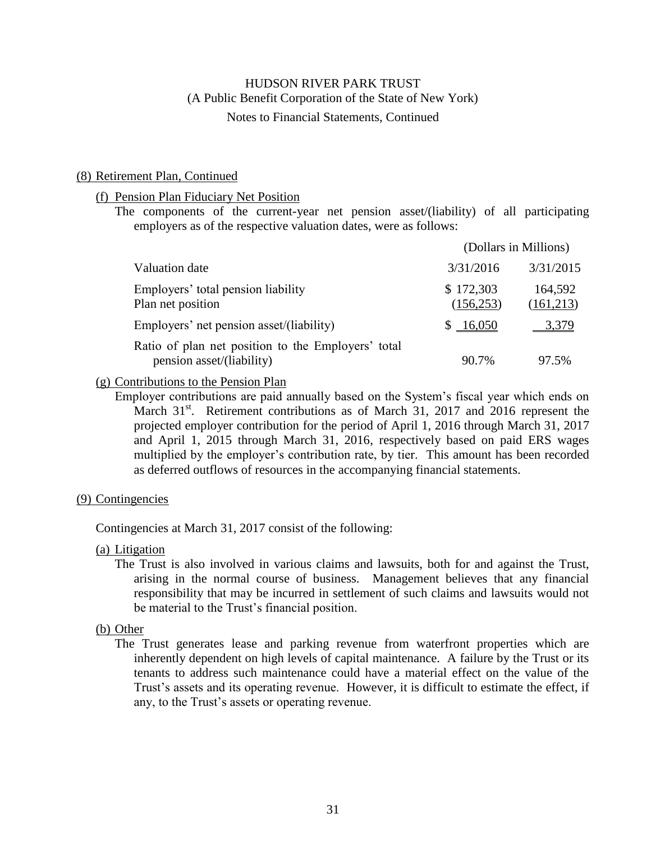### (8) Retirement Plan, Continued

#### (f) Pension Plan Fiduciary Net Position

The components of the current-year net pension asset/(liability) of all participating employers as of the respective valuation dates, were as follows:

|                                                                                 | (Dollars in Millions)   |                       |  |  |  |
|---------------------------------------------------------------------------------|-------------------------|-----------------------|--|--|--|
| Valuation date                                                                  | 3/31/2016               | 3/31/2015             |  |  |  |
| Employers' total pension liability<br>Plan net position                         | \$172,303<br>(156, 253) | 164,592<br>(161, 213) |  |  |  |
| Employers' net pension asset/(liability)                                        | \$16,050                | 3.379                 |  |  |  |
| Ratio of plan net position to the Employers' total<br>pension asset/(liability) | 90.7%                   | 97.5%                 |  |  |  |

## (g) Contributions to the Pension Plan

Employer contributions are paid annually based on the System's fiscal year which ends on March  $31<sup>st</sup>$ . Retirement contributions as of March 31, 2017 and 2016 represent the projected employer contribution for the period of April 1, 2016 through March 31, 2017 and April 1, 2015 through March 31, 2016, respectively based on paid ERS wages multiplied by the employer's contribution rate, by tier. This amount has been recorded as deferred outflows of resources in the accompanying financial statements.

### (9) Contingencies

Contingencies at March 31, 2017 consist of the following:

#### (a) Litigation

The Trust is also involved in various claims and lawsuits, both for and against the Trust, arising in the normal course of business. Management believes that any financial responsibility that may be incurred in settlement of such claims and lawsuits would not be material to the Trust's financial position.

### (b) Other

The Trust generates lease and parking revenue from waterfront properties which are inherently dependent on high levels of capital maintenance. A failure by the Trust or its tenants to address such maintenance could have a material effect on the value of the Trust's assets and its operating revenue. However, it is difficult to estimate the effect, if any, to the Trust's assets or operating revenue.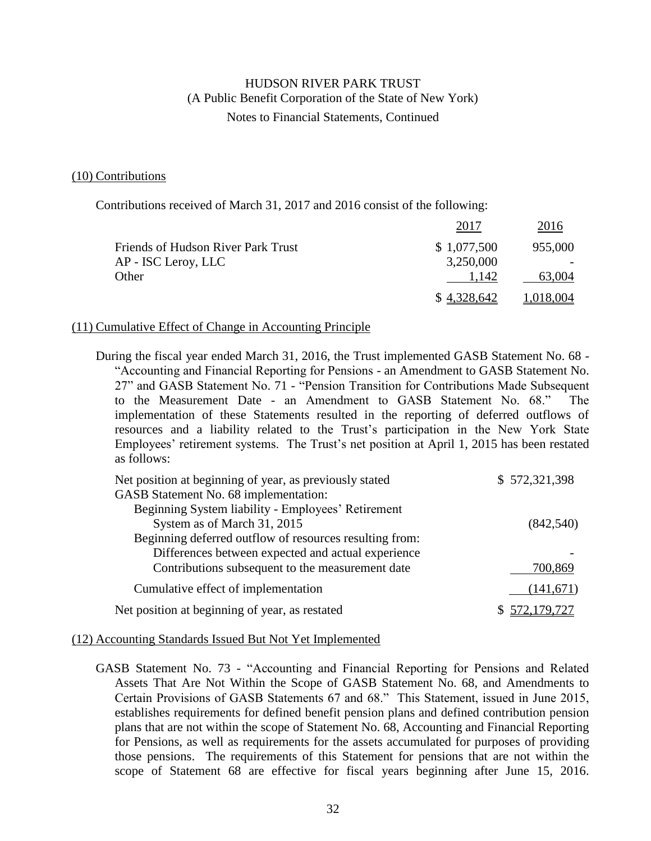### (10) Contributions

Contributions received of March 31, 2017 and 2016 consist of the following:

|                                    | 2017        | 2016      |
|------------------------------------|-------------|-----------|
| Friends of Hudson River Park Trust | \$1,077,500 | 955,000   |
| AP - ISC Leroy, LLC                | 3,250,000   |           |
| Other                              | 1.142       | 63,004    |
|                                    | \$4,328,642 | 1,018,004 |

### (11) Cumulative Effect of Change in Accounting Principle

During the fiscal year ended March 31, 2016, the Trust implemented GASB Statement No. 68 - "Accounting and Financial Reporting for Pensions - an Amendment to GASB Statement No. 27" and GASB Statement No. 71 - "Pension Transition for Contributions Made Subsequent to the Measurement Date - an Amendment to GASB Statement No. 68." The implementation of these Statements resulted in the reporting of deferred outflows of resources and a liability related to the Trust's participation in the New York State Employees' retirement systems. The Trust's net position at April 1, 2015 has been restated as follows:

| Net position at beginning of year, as previously stated | \$572,321,398 |
|---------------------------------------------------------|---------------|
| GASB Statement No. 68 implementation:                   |               |
| Beginning System liability - Employees' Retirement      |               |
| System as of March 31, 2015                             | (842, 540)    |
| Beginning deferred outflow of resources resulting from: |               |
| Differences between expected and actual experience      |               |
| Contributions subsequent to the measurement date        | 700,869       |
| Cumulative effect of implementation                     | (141, 671)    |
| Net position at beginning of year, as restated          |               |

(12) Accounting Standards Issued But Not Yet Implemented

GASB Statement No. 73 - "Accounting and Financial Reporting for Pensions and Related Assets That Are Not Within the Scope of GASB Statement No. 68, and Amendments to Certain Provisions of GASB Statements 67 and 68." This Statement, issued in June 2015, establishes requirements for defined benefit pension plans and defined contribution pension plans that are not within the scope of Statement No. 68, Accounting and Financial Reporting for Pensions, as well as requirements for the assets accumulated for purposes of providing those pensions. The requirements of this Statement for pensions that are not within the scope of Statement 68 are effective for fiscal years beginning after June 15, 2016.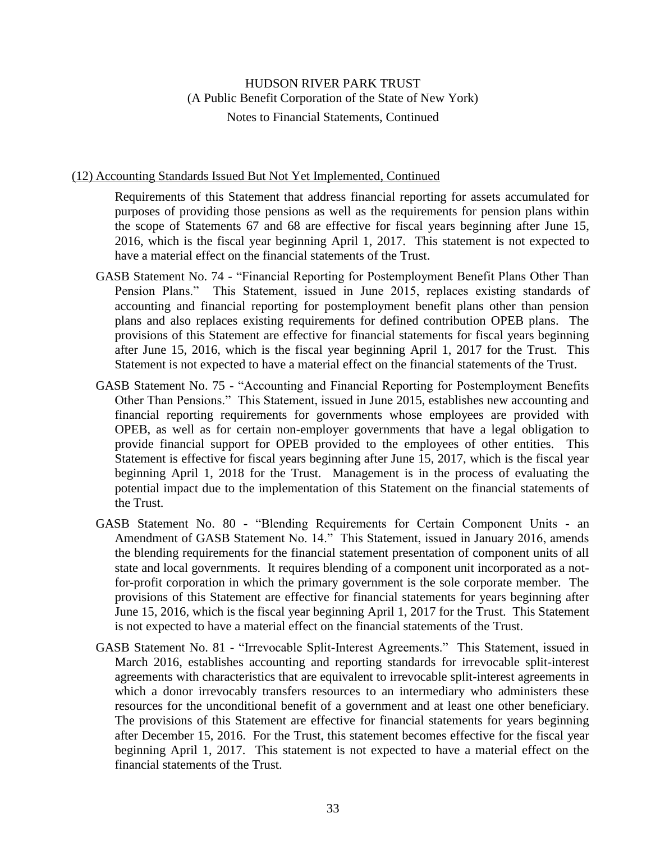### (12) Accounting Standards Issued But Not Yet Implemented, Continued

Requirements of this Statement that address financial reporting for assets accumulated for purposes of providing those pensions as well as the requirements for pension plans within the scope of Statements 67 and 68 are effective for fiscal years beginning after June 15, 2016, which is the fiscal year beginning April 1, 2017. This statement is not expected to have a material effect on the financial statements of the Trust.

- GASB Statement No. 74 "Financial Reporting for Postemployment Benefit Plans Other Than Pension Plans." This Statement, issued in June 2015, replaces existing standards of accounting and financial reporting for postemployment benefit plans other than pension plans and also replaces existing requirements for defined contribution OPEB plans. The provisions of this Statement are effective for financial statements for fiscal years beginning after June 15, 2016, which is the fiscal year beginning April 1, 2017 for the Trust. This Statement is not expected to have a material effect on the financial statements of the Trust.
- GASB Statement No. 75 "Accounting and Financial Reporting for Postemployment Benefits Other Than Pensions." This Statement, issued in June 2015, establishes new accounting and financial reporting requirements for governments whose employees are provided with OPEB, as well as for certain non-employer governments that have a legal obligation to provide financial support for OPEB provided to the employees of other entities. This Statement is effective for fiscal years beginning after June 15, 2017, which is the fiscal year beginning April 1, 2018 for the Trust. Management is in the process of evaluating the potential impact due to the implementation of this Statement on the financial statements of the Trust.
- GASB Statement No. 80 "Blending Requirements for Certain Component Units an Amendment of GASB Statement No. 14." This Statement, issued in January 2016, amends the blending requirements for the financial statement presentation of component units of all state and local governments. It requires blending of a component unit incorporated as a notfor-profit corporation in which the primary government is the sole corporate member. The provisions of this Statement are effective for financial statements for years beginning after June 15, 2016, which is the fiscal year beginning April 1, 2017 for the Trust. This Statement is not expected to have a material effect on the financial statements of the Trust.
- GASB Statement No. 81 "Irrevocable Split-Interest Agreements." This Statement, issued in March 2016, establishes accounting and reporting standards for irrevocable split-interest agreements with characteristics that are equivalent to irrevocable split-interest agreements in which a donor irrevocably transfers resources to an intermediary who administers these resources for the unconditional benefit of a government and at least one other beneficiary. The provisions of this Statement are effective for financial statements for years beginning after December 15, 2016. For the Trust, this statement becomes effective for the fiscal year beginning April 1, 2017. This statement is not expected to have a material effect on the financial statements of the Trust.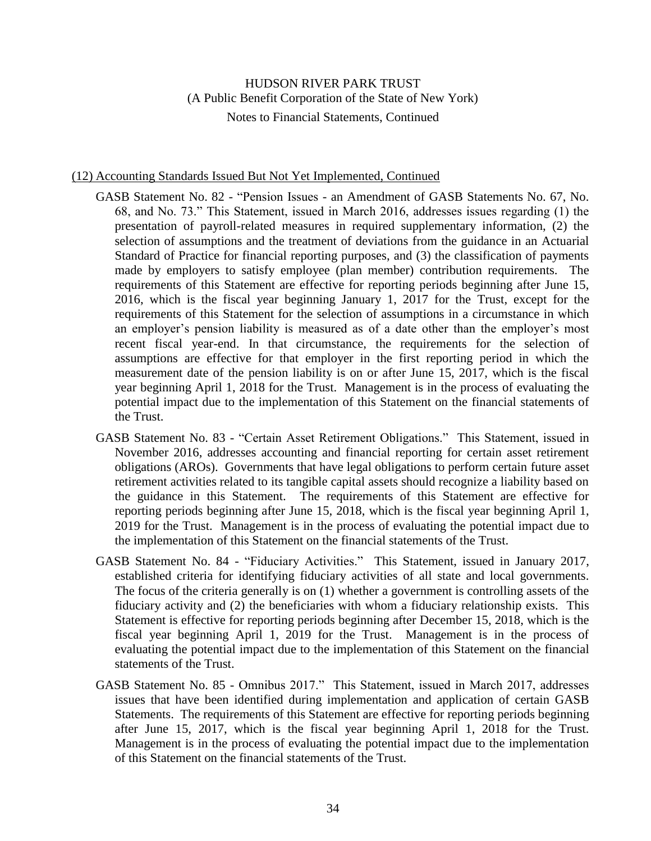### (12) Accounting Standards Issued But Not Yet Implemented, Continued

- GASB Statement No. 82 "Pension Issues an Amendment of GASB Statements No. 67, No. 68, and No. 73." This Statement, issued in March 2016, addresses issues regarding (1) the presentation of payroll-related measures in required supplementary information, (2) the selection of assumptions and the treatment of deviations from the guidance in an Actuarial Standard of Practice for financial reporting purposes, and (3) the classification of payments made by employers to satisfy employee (plan member) contribution requirements. The requirements of this Statement are effective for reporting periods beginning after June 15, 2016, which is the fiscal year beginning January 1, 2017 for the Trust, except for the requirements of this Statement for the selection of assumptions in a circumstance in which an employer's pension liability is measured as of a date other than the employer's most recent fiscal year-end. In that circumstance, the requirements for the selection of assumptions are effective for that employer in the first reporting period in which the measurement date of the pension liability is on or after June 15, 2017, which is the fiscal year beginning April 1, 2018 for the Trust. Management is in the process of evaluating the potential impact due to the implementation of this Statement on the financial statements of the Trust.
- GASB Statement No. 83 "Certain Asset Retirement Obligations." This Statement, issued in November 2016, addresses accounting and financial reporting for certain asset retirement obligations (AROs). Governments that have legal obligations to perform certain future asset retirement activities related to its tangible capital assets should recognize a liability based on the guidance in this Statement. The requirements of this Statement are effective for reporting periods beginning after June 15, 2018, which is the fiscal year beginning April 1, 2019 for the Trust. Management is in the process of evaluating the potential impact due to the implementation of this Statement on the financial statements of the Trust.
- GASB Statement No. 84 "Fiduciary Activities." This Statement, issued in January 2017, established criteria for identifying fiduciary activities of all state and local governments. The focus of the criteria generally is on (1) whether a government is controlling assets of the fiduciary activity and (2) the beneficiaries with whom a fiduciary relationship exists. This Statement is effective for reporting periods beginning after December 15, 2018, which is the fiscal year beginning April 1, 2019 for the Trust. Management is in the process of evaluating the potential impact due to the implementation of this Statement on the financial statements of the Trust.
- GASB Statement No. 85 Omnibus 2017." This Statement, issued in March 2017, addresses issues that have been identified during implementation and application of certain GASB Statements. The requirements of this Statement are effective for reporting periods beginning after June 15, 2017, which is the fiscal year beginning April 1, 2018 for the Trust. Management is in the process of evaluating the potential impact due to the implementation of this Statement on the financial statements of the Trust.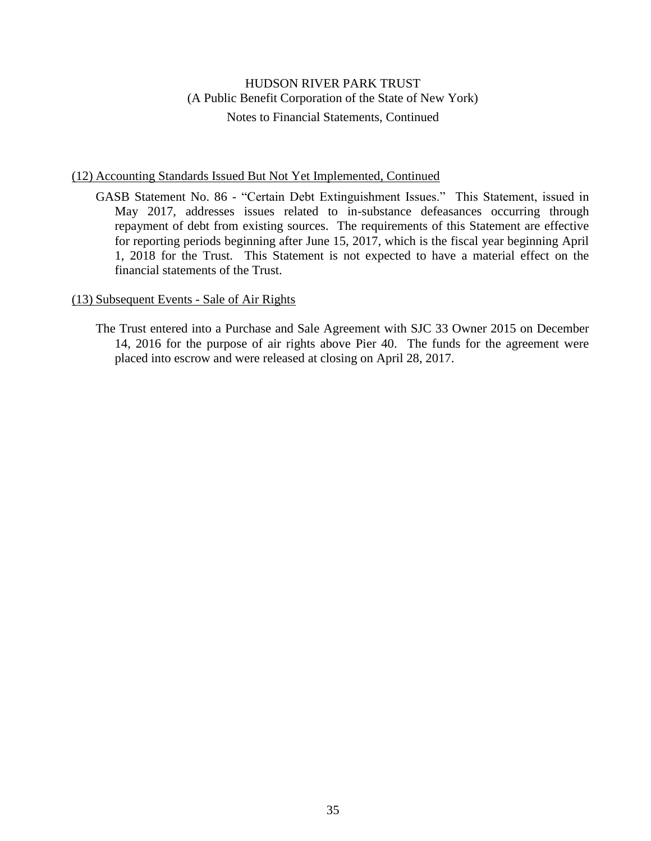### (12) Accounting Standards Issued But Not Yet Implemented, Continued

GASB Statement No. 86 - "Certain Debt Extinguishment Issues." This Statement, issued in May 2017, addresses issues related to in-substance defeasances occurring through repayment of debt from existing sources. The requirements of this Statement are effective for reporting periods beginning after June 15, 2017, which is the fiscal year beginning April 1, 2018 for the Trust. This Statement is not expected to have a material effect on the financial statements of the Trust.

### (13) Subsequent Events - Sale of Air Rights

The Trust entered into a Purchase and Sale Agreement with SJC 33 Owner 2015 on December 14, 2016 for the purpose of air rights above Pier 40. The funds for the agreement were placed into escrow and were released at closing on April 28, 2017.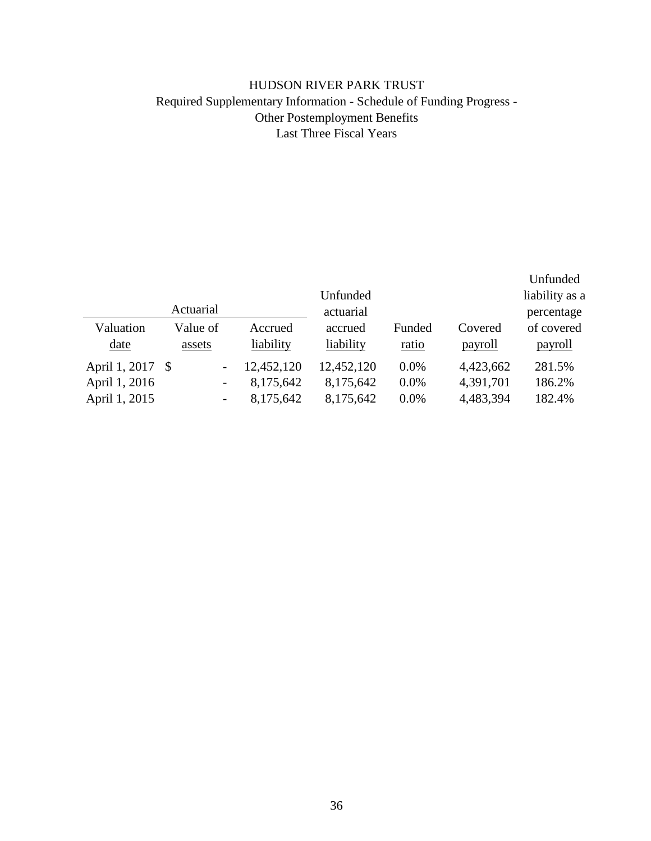# HUDSON RIVER PARK TRUST Required Supplementary Information - Schedule of Funding Progress - Other Postemployment Benefits Last Three Fiscal Years

|           |                  |            |         |           | Unfunded       |
|-----------|------------------|------------|---------|-----------|----------------|
|           |                  | Unfunded   |         |           | liability as a |
| Actuarial |                  | actuarial  |         |           | percentage     |
| Value of  | Accrued          | accrued    | Funded  | Covered   | of covered     |
| assets    | liability        | liability  | ratio   | payroll   | payroll        |
|           | 12,452,120       | 12,452,120 | $0.0\%$ | 4,423,662 | 281.5%         |
| -         | 8,175,642        | 8,175,642  | $0.0\%$ | 4,391,701 | 186.2%         |
|           | 8,175,642        | 8,175,642  | $0.0\%$ | 4,483,394 | 182.4%         |
|           | April 1, 2017 \$ |            |         |           |                |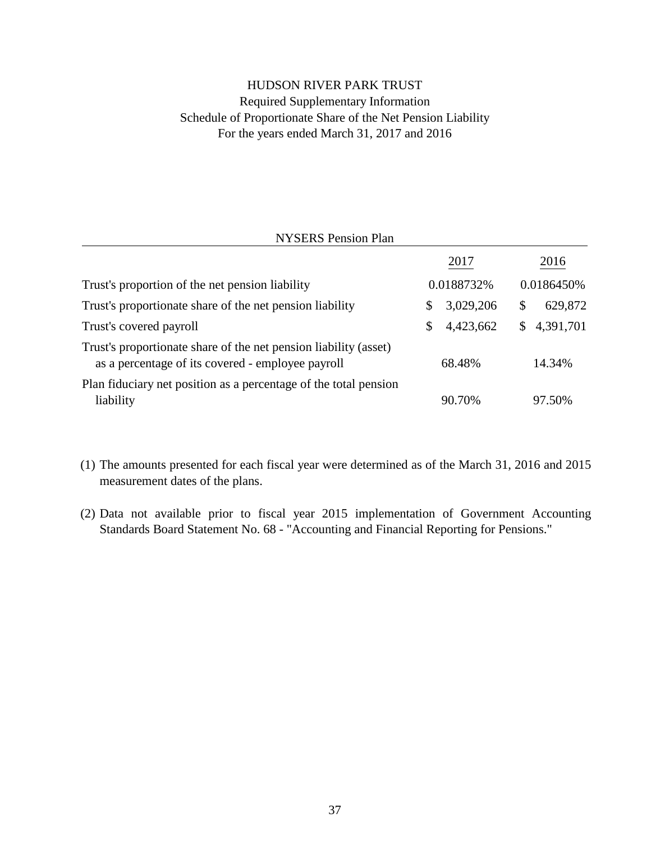## HUDSON RIVER PARK TRUST Required Supplementary Information Schedule of Proportionate Share of the Net Pension Liability For the years ended March 31, 2017 and 2016

## NYSERS Pension Plan

|                                                                                                                       |     | 2017       |     | 2016        |
|-----------------------------------------------------------------------------------------------------------------------|-----|------------|-----|-------------|
| Trust's proportion of the net pension liability                                                                       |     | 0.0188732% |     | 0.0186450%  |
| Trust's proportionate share of the net pension liability                                                              | S   | 3,029,206  | \$. | 629,872     |
| Trust's covered payroll                                                                                               | \$. | 4,423,662  |     | \$4,391,701 |
| Trust's proportionate share of the net pension liability (asset)<br>as a percentage of its covered - employee payroll |     | 68.48%     |     | 14.34%      |
| Plan fiduciary net position as a percentage of the total pension<br>liability                                         |     | 90.70%     |     | 97.50%      |

(1) The amounts presented for each fiscal year were determined as of the March 31, 2016 and 2015 measurement dates of the plans.

(2) Data not available prior to fiscal year 2015 implementation of Government Accounting Standards Board Statement No. 68 - "Accounting and Financial Reporting for Pensions."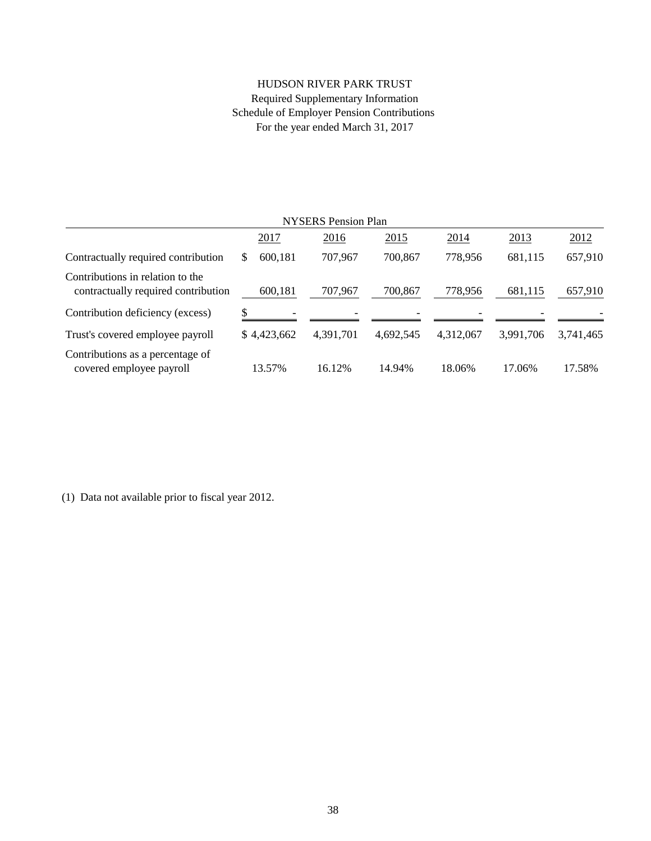## HUDSON RIVER PARK TRUST Required Supplementary Information Schedule of Employer Pension Contributions For the year ended March 31, 2017

| <b>NYSERS</b> Pension Plan                                              |    |             |           |  |  |           |  |           |           |           |
|-------------------------------------------------------------------------|----|-------------|-----------|--|--|-----------|--|-----------|-----------|-----------|
|                                                                         |    | 2017        | 2016      |  |  | 2015      |  | 2014      | 2013      | 2012      |
| Contractually required contribution                                     | S  | 600.181     | 707,967   |  |  | 700,867   |  | 778,956   | 681,115   | 657,910   |
| Contributions in relation to the<br>contractually required contribution |    | 600,181     | 707,967   |  |  | 700,867   |  | 778,956   | 681,115   | 657,910   |
| Contribution deficiency (excess)                                        | \$ |             |           |  |  |           |  |           |           |           |
| Trust's covered employee payroll                                        |    | \$4,423,662 | 4,391,701 |  |  | 4,692,545 |  | 4,312,067 | 3.991.706 | 3,741,465 |
| Contributions as a percentage of<br>covered employee payroll            |    | 13.57%      | 16.12%    |  |  | 14.94%    |  | 18.06%    | 17.06%    | 17.58%    |

(1) Data not available prior to fiscal year 2012.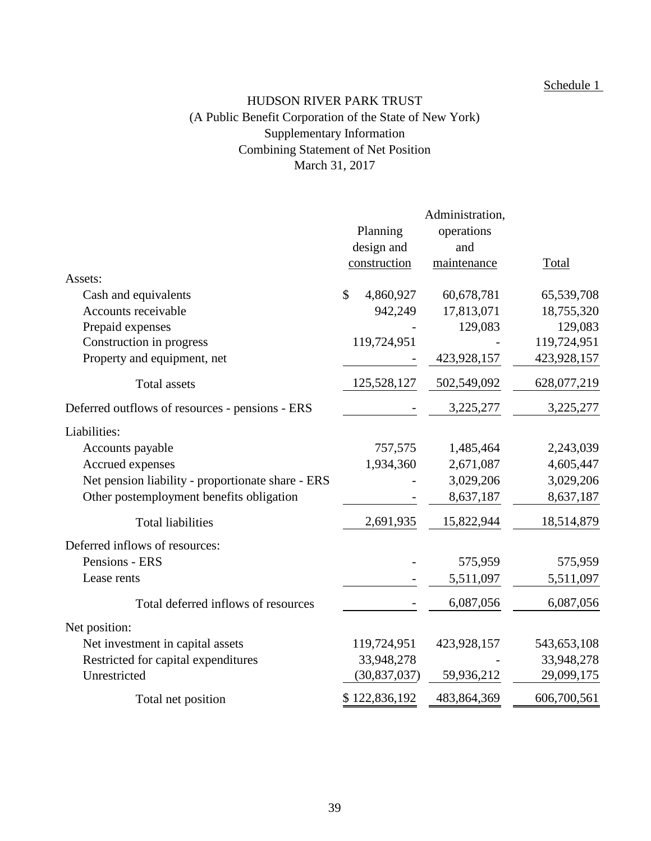## HUDSON RIVER PARK TRUST (A Public Benefit Corporation of the State of New York) Combining Statement of Net Position March 31, 2017 Supplementary Information

|                                                   |                 | Administration, |             |  |  |  |
|---------------------------------------------------|-----------------|-----------------|-------------|--|--|--|
|                                                   | Planning        | operations      |             |  |  |  |
|                                                   | design and      | and             |             |  |  |  |
|                                                   | construction    | maintenance     | Total       |  |  |  |
| Assets:                                           |                 |                 |             |  |  |  |
| Cash and equivalents                              | \$<br>4,860,927 | 60,678,781      | 65,539,708  |  |  |  |
| Accounts receivable                               | 942,249         | 17,813,071      | 18,755,320  |  |  |  |
| Prepaid expenses                                  |                 | 129,083         | 129,083     |  |  |  |
| Construction in progress                          | 119,724,951     |                 | 119,724,951 |  |  |  |
| Property and equipment, net                       |                 | 423,928,157     | 423,928,157 |  |  |  |
| <b>Total assets</b>                               | 125,528,127     | 502,549,092     | 628,077,219 |  |  |  |
| Deferred outflows of resources - pensions - ERS   |                 | 3,225,277       | 3,225,277   |  |  |  |
| Liabilities:                                      |                 |                 |             |  |  |  |
| Accounts payable                                  | 757,575         | 1,485,464       | 2,243,039   |  |  |  |
| Accrued expenses                                  | 1,934,360       | 2,671,087       | 4,605,447   |  |  |  |
| Net pension liability - proportionate share - ERS |                 | 3,029,206       | 3,029,206   |  |  |  |
| Other postemployment benefits obligation          |                 | 8,637,187       | 8,637,187   |  |  |  |
| <b>Total liabilities</b>                          | 2,691,935       | 15,822,944      | 18,514,879  |  |  |  |
| Deferred inflows of resources:                    |                 |                 |             |  |  |  |
| Pensions - ERS                                    |                 | 575,959         | 575,959     |  |  |  |
| Lease rents                                       |                 | 5,511,097       | 5,511,097   |  |  |  |
| Total deferred inflows of resources               |                 | 6,087,056       | 6,087,056   |  |  |  |
| Net position:                                     |                 |                 |             |  |  |  |
| Net investment in capital assets                  | 119,724,951     | 423,928,157     | 543,653,108 |  |  |  |
| Restricted for capital expenditures               | 33,948,278      |                 | 33,948,278  |  |  |  |
| Unrestricted                                      | (30, 837, 037)  | 59,936,212      | 29,099,175  |  |  |  |
| Total net position                                | \$122,836,192   | 483,864,369     | 606,700,561 |  |  |  |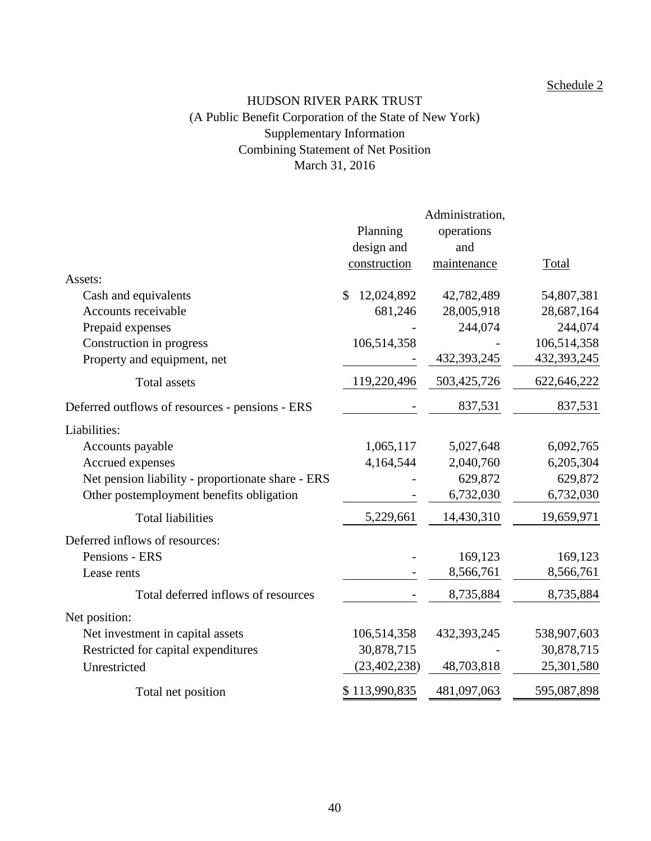## (A Public Benefit Corporation of the State of New York) Combining Statement of Net Position March 31, 2016 HUDSON RIVER PARK TRUST Supplementary Information

|                                                   | Administration,  |             |             |  |  |  |
|---------------------------------------------------|------------------|-------------|-------------|--|--|--|
|                                                   | Planning         | operations  |             |  |  |  |
|                                                   | design and       | and         |             |  |  |  |
|                                                   | construction     | maintenance | Total       |  |  |  |
| Assets:                                           |                  |             |             |  |  |  |
| Cash and equivalents                              | \$<br>12,024,892 | 42,782,489  | 54,807,381  |  |  |  |
| Accounts receivable                               | 681,246          | 28,005,918  | 28,687,164  |  |  |  |
| Prepaid expenses                                  |                  | 244,074     | 244,074     |  |  |  |
| Construction in progress                          | 106,514,358      |             | 106,514,358 |  |  |  |
| Property and equipment, net                       |                  | 432,393,245 | 432,393,245 |  |  |  |
| <b>Total assets</b>                               | 119,220,496      | 503,425,726 | 622,646,222 |  |  |  |
| Deferred outflows of resources - pensions - ERS   |                  | 837,531     | 837,531     |  |  |  |
| Liabilities:                                      |                  |             |             |  |  |  |
| Accounts payable                                  | 1,065,117        | 5,027,648   | 6,092,765   |  |  |  |
| Accrued expenses                                  | 4,164,544        | 2,040,760   | 6,205,304   |  |  |  |
| Net pension liability - proportionate share - ERS |                  | 629,872     | 629,872     |  |  |  |
| Other postemployment benefits obligation          |                  | 6,732,030   | 6,732,030   |  |  |  |
| <b>Total liabilities</b>                          | 5,229,661        | 14,430,310  | 19,659,971  |  |  |  |
| Deferred inflows of resources:                    |                  |             |             |  |  |  |
| Pensions - ERS                                    |                  | 169,123     | 169,123     |  |  |  |
| Lease rents                                       |                  | 8,566,761   | 8,566,761   |  |  |  |
| Total deferred inflows of resources               |                  | 8,735,884   | 8,735,884   |  |  |  |
| Net position:                                     |                  |             |             |  |  |  |
| Net investment in capital assets                  | 106,514,358      | 432,393,245 | 538,907,603 |  |  |  |
| Restricted for capital expenditures               | 30,878,715       |             | 30,878,715  |  |  |  |
| Unrestricted                                      | (23, 402, 238)   | 48,703,818  | 25,301,580  |  |  |  |
| Total net position                                | \$113,990,835    | 481,097,063 | 595,087,898 |  |  |  |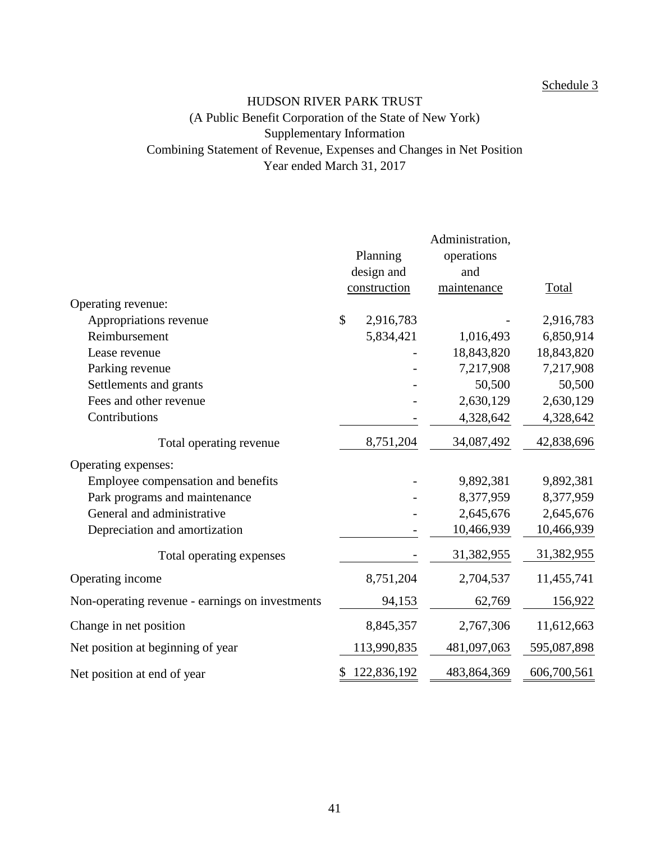# HUDSON RIVER PARK TRUST Combining Statement of Revenue, Expenses and Changes in Net Position Year ended March 31, 2017 (A Public Benefit Corporation of the State of New York) Supplementary Information

|                                                 | Planning<br>design and<br>construction |             | Administration,<br>operations<br>and<br>maintenance |             |
|-------------------------------------------------|----------------------------------------|-------------|-----------------------------------------------------|-------------|
| Operating revenue:                              |                                        |             |                                                     |             |
| Appropriations revenue                          | \$                                     | 2,916,783   |                                                     | 2,916,783   |
| Reimbursement                                   |                                        | 5,834,421   | 1,016,493                                           | 6,850,914   |
| Lease revenue                                   |                                        |             | 18,843,820                                          | 18,843,820  |
| Parking revenue                                 |                                        |             | 7,217,908                                           | 7,217,908   |
| Settlements and grants                          |                                        |             | 50,500                                              | 50,500      |
| Fees and other revenue                          |                                        |             | 2,630,129                                           | 2,630,129   |
| Contributions                                   |                                        |             | 4,328,642                                           | 4,328,642   |
| Total operating revenue                         |                                        | 8,751,204   | 34,087,492                                          | 42,838,696  |
| Operating expenses:                             |                                        |             |                                                     |             |
| Employee compensation and benefits              |                                        |             | 9,892,381                                           | 9,892,381   |
| Park programs and maintenance                   |                                        |             | 8,377,959                                           | 8,377,959   |
| General and administrative                      |                                        |             | 2,645,676                                           | 2,645,676   |
| Depreciation and amortization                   |                                        |             | 10,466,939                                          | 10,466,939  |
| Total operating expenses                        |                                        |             | 31,382,955                                          | 31,382,955  |
| Operating income                                |                                        | 8,751,204   | 2,704,537                                           | 11,455,741  |
| Non-operating revenue - earnings on investments |                                        | 94,153      | 62,769                                              | 156,922     |
| Change in net position                          |                                        | 8,845,357   | 2,767,306                                           | 11,612,663  |
| Net position at beginning of year               |                                        | 113,990,835 | 481,097,063                                         | 595,087,898 |
| Net position at end of year                     |                                        | 122,836,192 | 483,864,369                                         | 606,700,561 |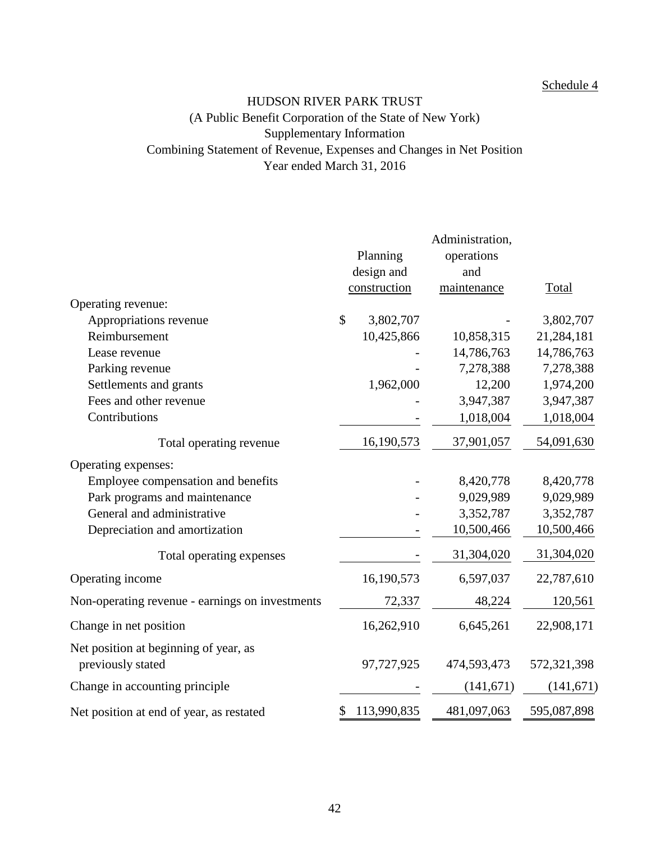# HUDSON RIVER PARK TRUST (A Public Benefit Corporation of the State of New York) Supplementary Information Combining Statement of Revenue, Expenses and Changes in Net Position Year ended March 31, 2016

|                                                            | Planning<br>design and<br>construction | Administration,<br>operations<br>and<br>maintenance | Total       |
|------------------------------------------------------------|----------------------------------------|-----------------------------------------------------|-------------|
| Operating revenue:                                         |                                        |                                                     |             |
| Appropriations revenue                                     | \$<br>3,802,707                        |                                                     | 3,802,707   |
| Reimbursement                                              | 10,425,866                             | 10,858,315                                          | 21,284,181  |
| Lease revenue                                              |                                        | 14,786,763                                          | 14,786,763  |
| Parking revenue                                            |                                        | 7,278,388                                           | 7,278,388   |
| Settlements and grants                                     | 1,962,000                              | 12,200                                              | 1,974,200   |
| Fees and other revenue                                     |                                        | 3,947,387                                           | 3,947,387   |
| Contributions                                              |                                        | 1,018,004                                           | 1,018,004   |
| Total operating revenue                                    | 16,190,573                             | 37,901,057                                          | 54,091,630  |
| Operating expenses:                                        |                                        |                                                     |             |
| Employee compensation and benefits                         |                                        | 8,420,778                                           | 8,420,778   |
| Park programs and maintenance                              |                                        | 9,029,989                                           | 9,029,989   |
| General and administrative                                 |                                        | 3,352,787                                           | 3,352,787   |
| Depreciation and amortization                              |                                        | 10,500,466                                          | 10,500,466  |
| Total operating expenses                                   |                                        | 31,304,020                                          | 31,304,020  |
| Operating income                                           | 16,190,573                             | 6,597,037                                           | 22,787,610  |
| Non-operating revenue - earnings on investments            | 72,337                                 | 48,224                                              | 120,561     |
| Change in net position                                     | 16,262,910                             | 6,645,261                                           | 22,908,171  |
| Net position at beginning of year, as<br>previously stated | 97,727,925                             | 474,593,473                                         | 572,321,398 |
| Change in accounting principle                             |                                        | (141, 671)                                          | (141, 671)  |
| Net position at end of year, as restated                   | \$<br>113,990,835                      | 481,097,063                                         | 595,087,898 |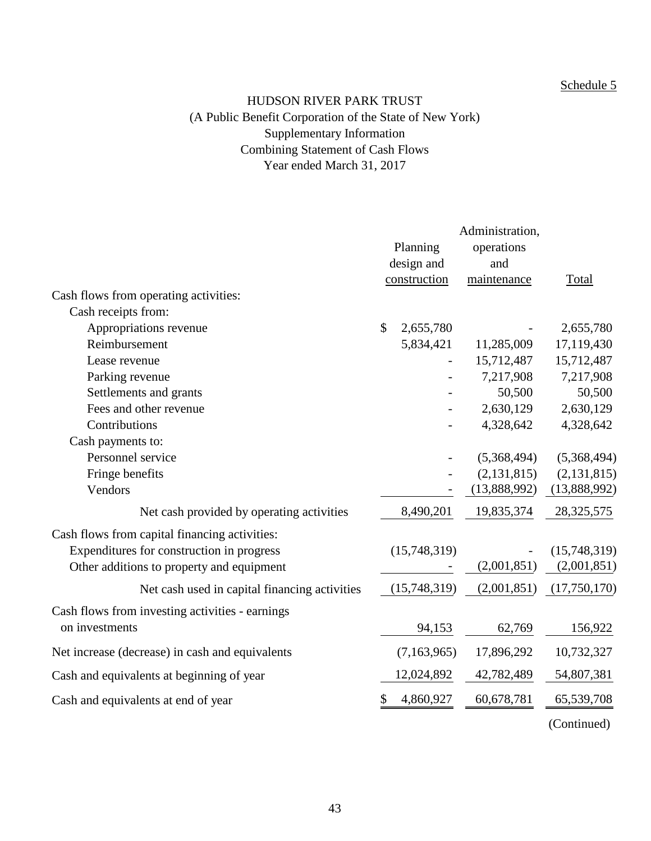# HUDSON RIVER PARK TRUST (A Public Benefit Corporation of the State of New York) Supplementary Information Year ended March 31, 2017 Combining Statement of Cash Flows

|                                                 |                        |               | Administration,   |               |
|-------------------------------------------------|------------------------|---------------|-------------------|---------------|
|                                                 | Planning<br>design and |               | operations<br>and |               |
|                                                 |                        |               |                   |               |
|                                                 |                        | construction  | maintenance       | Total         |
| Cash flows from operating activities:           |                        |               |                   |               |
| Cash receipts from:                             |                        |               |                   |               |
| Appropriations revenue                          | \$                     | 2,655,780     |                   | 2,655,780     |
| Reimbursement                                   |                        | 5,834,421     | 11,285,009        | 17,119,430    |
| Lease revenue                                   |                        |               | 15,712,487        | 15,712,487    |
| Parking revenue                                 |                        |               | 7,217,908         | 7,217,908     |
| Settlements and grants                          |                        |               | 50,500            | 50,500        |
| Fees and other revenue                          |                        |               | 2,630,129         | 2,630,129     |
| Contributions                                   |                        |               | 4,328,642         | 4,328,642     |
| Cash payments to:                               |                        |               |                   |               |
| Personnel service                               |                        |               | (5,368,494)       | (5,368,494)   |
| Fringe benefits                                 |                        |               | (2, 131, 815)     | (2, 131, 815) |
| Vendors                                         |                        |               | (13,888,992)      | (13,888,992)  |
| Net cash provided by operating activities       |                        | 8,490,201     | 19,835,374        | 28,325,575    |
| Cash flows from capital financing activities:   |                        |               |                   |               |
| Expenditures for construction in progress       |                        | (15,748,319)  |                   | (15,748,319)  |
| Other additions to property and equipment       |                        |               | (2,001,851)       | (2,001,851)   |
| Net cash used in capital financing activities   |                        | (15,748,319)  | (2,001,851)       | (17,750,170)  |
| Cash flows from investing activities - earnings |                        |               |                   |               |
| on investments                                  |                        | 94,153        | 62,769            | 156,922       |
| Net increase (decrease) in cash and equivalents |                        | (7, 163, 965) | 17,896,292        | 10,732,327    |
| Cash and equivalents at beginning of year       |                        | 12,024,892    | 42,782,489        | 54,807,381    |
| Cash and equivalents at end of year             | \$                     | 4,860,927     | 60,678,781        | 65,539,708    |
|                                                 |                        |               |                   | (Continued)   |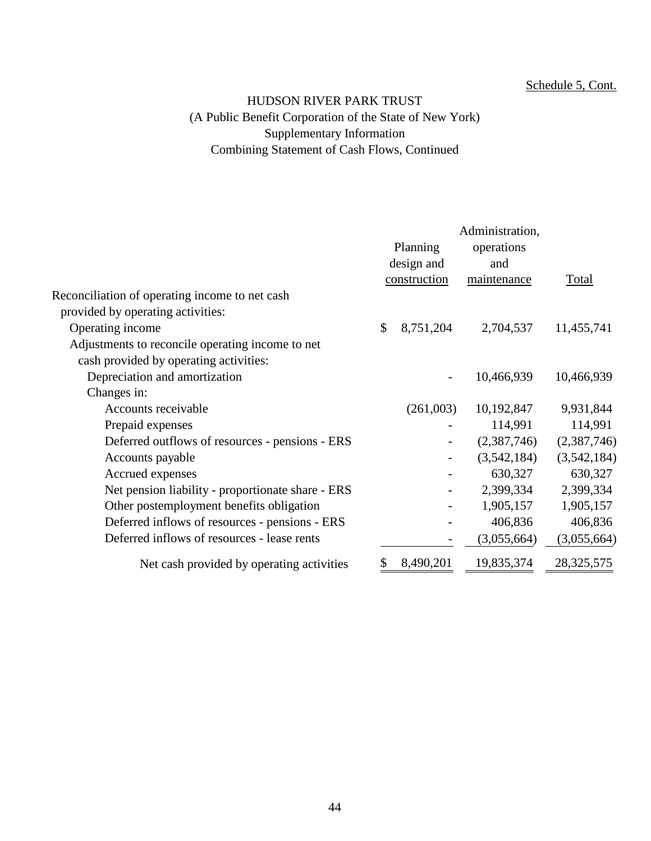## Schedule 5, Cont.

# HUDSON RIVER PARK TRUST (A Public Benefit Corporation of the State of New York) Combining Statement of Cash Flows, Continued Supplementary Information

|                                                   | Administration,        |              |                   |              |
|---------------------------------------------------|------------------------|--------------|-------------------|--------------|
|                                                   | Planning<br>design and |              | operations<br>and |              |
|                                                   |                        |              |                   |              |
|                                                   |                        | construction | maintenance       | <b>Total</b> |
| Reconciliation of operating income to net cash    |                        |              |                   |              |
| provided by operating activities:                 |                        |              |                   |              |
| Operating income                                  | \$                     | 8,751,204    | 2,704,537         | 11,455,741   |
| Adjustments to reconcile operating income to net  |                        |              |                   |              |
| cash provided by operating activities:            |                        |              |                   |              |
| Depreciation and amortization                     |                        |              | 10,466,939        | 10,466,939   |
| Changes in:                                       |                        |              |                   |              |
| Accounts receivable                               |                        | (261,003)    | 10,192,847        | 9,931,844    |
| Prepaid expenses                                  |                        |              | 114,991           | 114,991      |
| Deferred outflows of resources - pensions - ERS   |                        |              | (2,387,746)       | (2,387,746)  |
| Accounts payable                                  |                        |              | (3,542,184)       | (3,542,184)  |
| Accrued expenses                                  |                        |              | 630,327           | 630,327      |
| Net pension liability - proportionate share - ERS |                        |              | 2,399,334         | 2,399,334    |
| Other postemployment benefits obligation          |                        |              | 1,905,157         | 1,905,157    |
| Deferred inflows of resources - pensions - ERS    |                        |              | 406,836           | 406,836      |
| Deferred inflows of resources - lease rents       |                        |              | (3,055,664)       | (3,055,664)  |
| Net cash provided by operating activities         |                        | 8,490,201    | 19,835,374        | 28, 325, 575 |
|                                                   |                        |              |                   |              |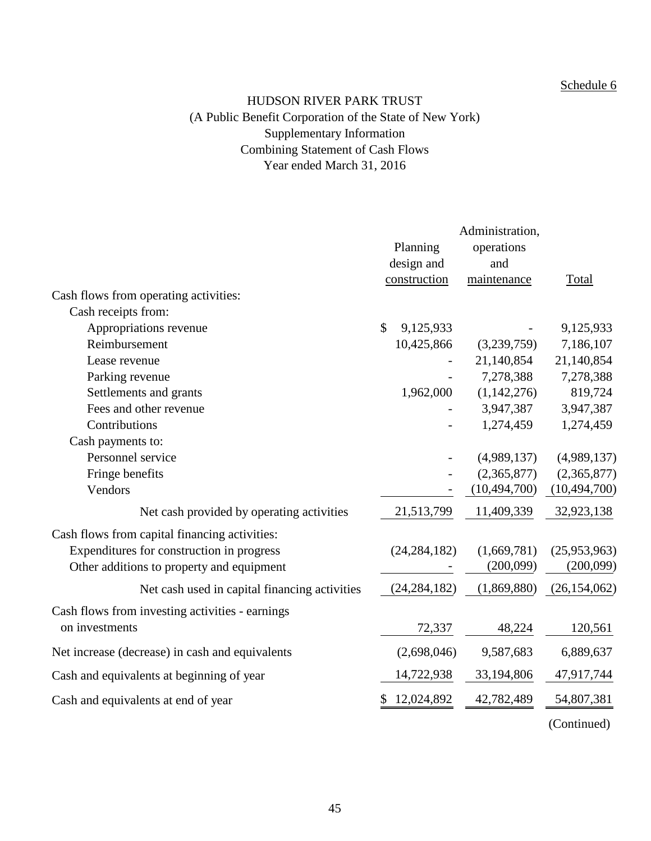# HUDSON RIVER PARK TRUST (A Public Benefit Corporation of the State of New York) Supplementary Information Combining Statement of Cash Flows Year ended March 31, 2016

|                                                 |                 | Administration, |                |
|-------------------------------------------------|-----------------|-----------------|----------------|
|                                                 | Planning        | operations      |                |
|                                                 | design and      | and             |                |
|                                                 | construction    | maintenance     | Total          |
| Cash flows from operating activities:           |                 |                 |                |
| Cash receipts from:                             |                 |                 |                |
| Appropriations revenue                          | \$<br>9,125,933 |                 | 9,125,933      |
| Reimbursement                                   | 10,425,866      | (3,239,759)     | 7,186,107      |
| Lease revenue                                   |                 | 21,140,854      | 21,140,854     |
| Parking revenue                                 |                 | 7,278,388       | 7,278,388      |
| Settlements and grants                          | 1,962,000       | (1,142,276)     | 819,724        |
| Fees and other revenue                          |                 | 3,947,387       | 3,947,387      |
| Contributions                                   |                 | 1,274,459       | 1,274,459      |
| Cash payments to:                               |                 |                 |                |
| Personnel service                               |                 | (4,989,137)     | (4,989,137)    |
| Fringe benefits                                 |                 | (2,365,877)     | (2,365,877)    |
| Vendors                                         |                 | (10, 494, 700)  | (10, 494, 700) |
| Net cash provided by operating activities       | 21,513,799      | 11,409,339      | 32,923,138     |
| Cash flows from capital financing activities:   |                 |                 |                |
| Expenditures for construction in progress       | (24, 284, 182)  | (1,669,781)     | (25,953,963)   |
| Other additions to property and equipment       |                 | (200,099)       | (200,099)      |
| Net cash used in capital financing activities   | (24, 284, 182)  | (1,869,880)     | (26, 154, 062) |
| Cash flows from investing activities - earnings |                 |                 |                |
| on investments                                  | 72,337          | 48,224          | 120,561        |
| Net increase (decrease) in cash and equivalents | (2,698,046)     | 9,587,683       | 6,889,637      |
| Cash and equivalents at beginning of year       | 14,722,938      | 33,194,806      | 47,917,744     |
| Cash and equivalents at end of year             | 12,024,892      | 42,782,489      | 54,807,381     |
|                                                 |                 |                 | (Continued)    |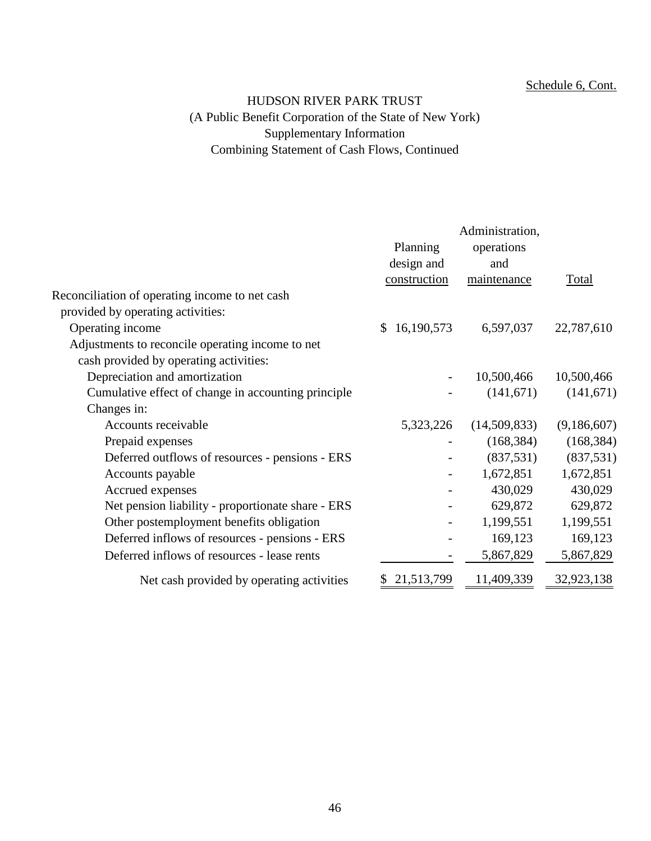## Schedule 6, Cont.

# HUDSON RIVER PARK TRUST (A Public Benefit Corporation of the State of New York) Supplementary Information Combining Statement of Cash Flows, Continued

|                                                     |                              | Administration, |              |
|-----------------------------------------------------|------------------------------|-----------------|--------------|
|                                                     | Planning                     | operations      |              |
|                                                     | design and                   | and             |              |
|                                                     | construction                 | maintenance     | <b>Total</b> |
| Reconciliation of operating income to net cash      |                              |                 |              |
| provided by operating activities:                   |                              |                 |              |
| Operating income                                    | 16,190,573<br>$\mathbb{S}^-$ | 6,597,037       | 22,787,610   |
| Adjustments to reconcile operating income to net    |                              |                 |              |
| cash provided by operating activities:              |                              |                 |              |
| Depreciation and amortization                       |                              | 10,500,466      | 10,500,466   |
| Cumulative effect of change in accounting principle |                              | (141,671)       | (141, 671)   |
| Changes in:                                         |                              |                 |              |
| Accounts receivable                                 | 5,323,226                    | (14,509,833)    | (9,186,607)  |
| Prepaid expenses                                    |                              | (168, 384)      | (168, 384)   |
| Deferred outflows of resources - pensions - ERS     |                              | (837,531)       | (837, 531)   |
| Accounts payable                                    |                              | 1,672,851       | 1,672,851    |
| Accrued expenses                                    |                              | 430,029         | 430,029      |
| Net pension liability - proportionate share - ERS   |                              | 629,872         | 629,872      |
| Other postemployment benefits obligation            |                              | 1,199,551       | 1,199,551    |
| Deferred inflows of resources - pensions - ERS      |                              | 169,123         | 169,123      |
| Deferred inflows of resources - lease rents         |                              | 5,867,829       | 5,867,829    |
| Net cash provided by operating activities           | 21,513,799                   | 11,409,339      | 32,923,138   |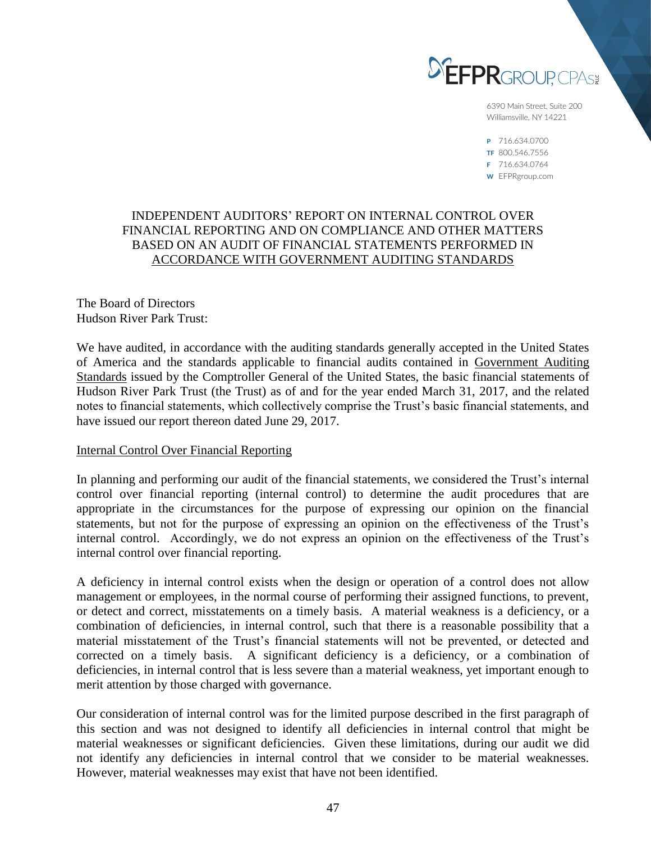

6390 Main Street, Suite 200 Williamsville, NY 14221

P 716.634.0700 TF 800.546.7556 F 716.634.0764 W EFPRgroup.com

## INDEPENDENT AUDITORS' REPORT ON INTERNAL CONTROL OVER FINANCIAL REPORTING AND ON COMPLIANCE AND OTHER MATTERS BASED ON AN AUDIT OF FINANCIAL STATEMENTS PERFORMED IN ACCORDANCE WITH GOVERNMENT AUDITING STANDARDS

The Board of Directors Hudson River Park Trust:

We have audited, in accordance with the auditing standards generally accepted in the United States of America and the standards applicable to financial audits contained in Government Auditing Standards issued by the Comptroller General of the United States, the basic financial statements of Hudson River Park Trust (the Trust) as of and for the year ended March 31, 2017, and the related notes to financial statements, which collectively comprise the Trust's basic financial statements, and have issued our report thereon dated June 29, 2017.

### Internal Control Over Financial Reporting

In planning and performing our audit of the financial statements, we considered the Trust's internal control over financial reporting (internal control) to determine the audit procedures that are appropriate in the circumstances for the purpose of expressing our opinion on the financial statements, but not for the purpose of expressing an opinion on the effectiveness of the Trust's internal control. Accordingly, we do not express an opinion on the effectiveness of the Trust's internal control over financial reporting.

A deficiency in internal control exists when the design or operation of a control does not allow management or employees, in the normal course of performing their assigned functions, to prevent, or detect and correct, misstatements on a timely basis. A material weakness is a deficiency, or a combination of deficiencies, in internal control, such that there is a reasonable possibility that a material misstatement of the Trust's financial statements will not be prevented, or detected and corrected on a timely basis. A significant deficiency is a deficiency, or a combination of deficiencies, in internal control that is less severe than a material weakness, yet important enough to merit attention by those charged with governance.

Our consideration of internal control was for the limited purpose described in the first paragraph of this section and was not designed to identify all deficiencies in internal control that might be material weaknesses or significant deficiencies. Given these limitations, during our audit we did not identify any deficiencies in internal control that we consider to be material weaknesses. However, material weaknesses may exist that have not been identified.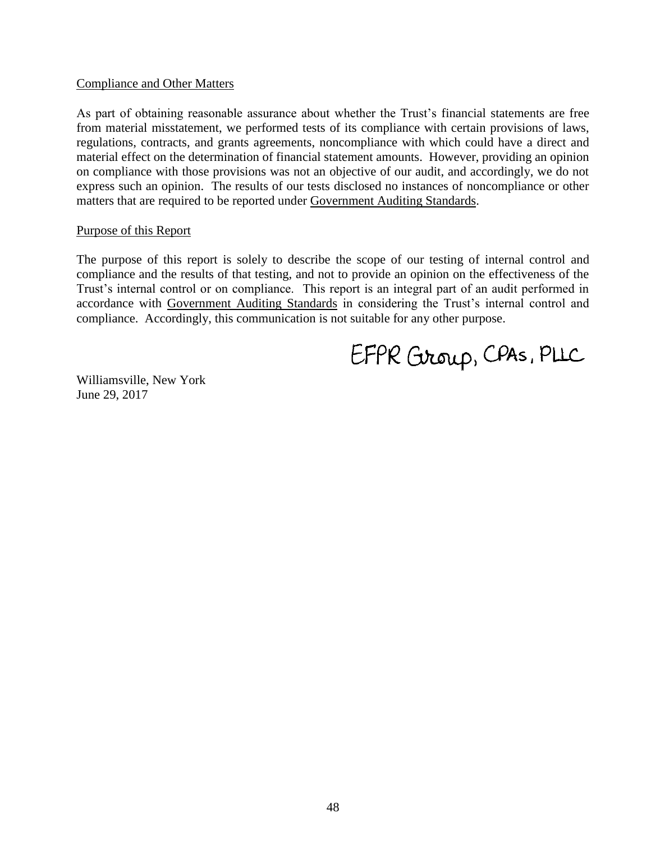### Compliance and Other Matters

As part of obtaining reasonable assurance about whether the Trust's financial statements are free from material misstatement, we performed tests of its compliance with certain provisions of laws, regulations, contracts, and grants agreements, noncompliance with which could have a direct and material effect on the determination of financial statement amounts. However, providing an opinion on compliance with those provisions was not an objective of our audit, and accordingly, we do not express such an opinion. The results of our tests disclosed no instances of noncompliance or other matters that are required to be reported under Government Auditing Standards.

### Purpose of this Report

The purpose of this report is solely to describe the scope of our testing of internal control and compliance and the results of that testing, and not to provide an opinion on the effectiveness of the Trust's internal control or on compliance. This report is an integral part of an audit performed in accordance with Government Auditing Standards in considering the Trust's internal control and compliance. Accordingly, this communication is not suitable for any other purpose.

EFPR Group, CPAS, PLLC

Williamsville, New York June 29, 2017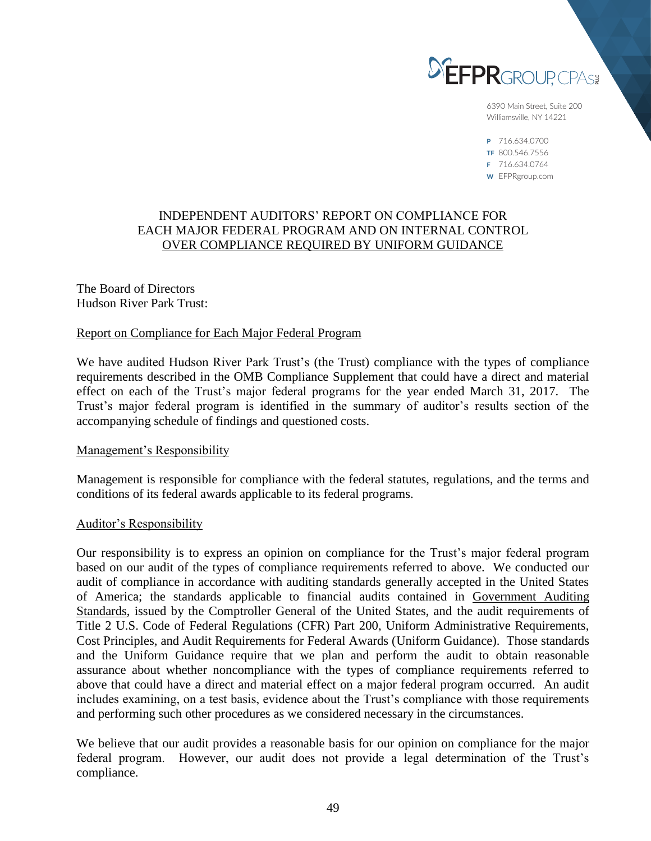

6390 Main Street, Suite 200 Williamsville, NY 14221

P 716.634.0700 TF 800.546.7556 F 716.634.0764 W EFPRgroup.com

## INDEPENDENT AUDITORS' REPORT ON COMPLIANCE FOR EACH MAJOR FEDERAL PROGRAM AND ON INTERNAL CONTROL OVER COMPLIANCE REQUIRED BY UNIFORM GUIDANCE

The Board of Directors Hudson River Park Trust:

### Report on Compliance for Each Major Federal Program

We have audited Hudson River Park Trust's (the Trust) compliance with the types of compliance requirements described in the OMB Compliance Supplement that could have a direct and material effect on each of the Trust's major federal programs for the year ended March 31, 2017. The Trust's major federal program is identified in the summary of auditor's results section of the accompanying schedule of findings and questioned costs.

#### Management's Responsibility

Management is responsible for compliance with the federal statutes, regulations, and the terms and conditions of its federal awards applicable to its federal programs.

### Auditor's Responsibility

Our responsibility is to express an opinion on compliance for the Trust's major federal program based on our audit of the types of compliance requirements referred to above. We conducted our audit of compliance in accordance with auditing standards generally accepted in the United States of America; the standards applicable to financial audits contained in Government Auditing Standards, issued by the Comptroller General of the United States, and the audit requirements of Title 2 U.S. Code of Federal Regulations (CFR) Part 200, Uniform Administrative Requirements, Cost Principles, and Audit Requirements for Federal Awards (Uniform Guidance). Those standards and the Uniform Guidance require that we plan and perform the audit to obtain reasonable assurance about whether noncompliance with the types of compliance requirements referred to above that could have a direct and material effect on a major federal program occurred. An audit includes examining, on a test basis, evidence about the Trust's compliance with those requirements and performing such other procedures as we considered necessary in the circumstances.

We believe that our audit provides a reasonable basis for our opinion on compliance for the major federal program. However, our audit does not provide a legal determination of the Trust's compliance.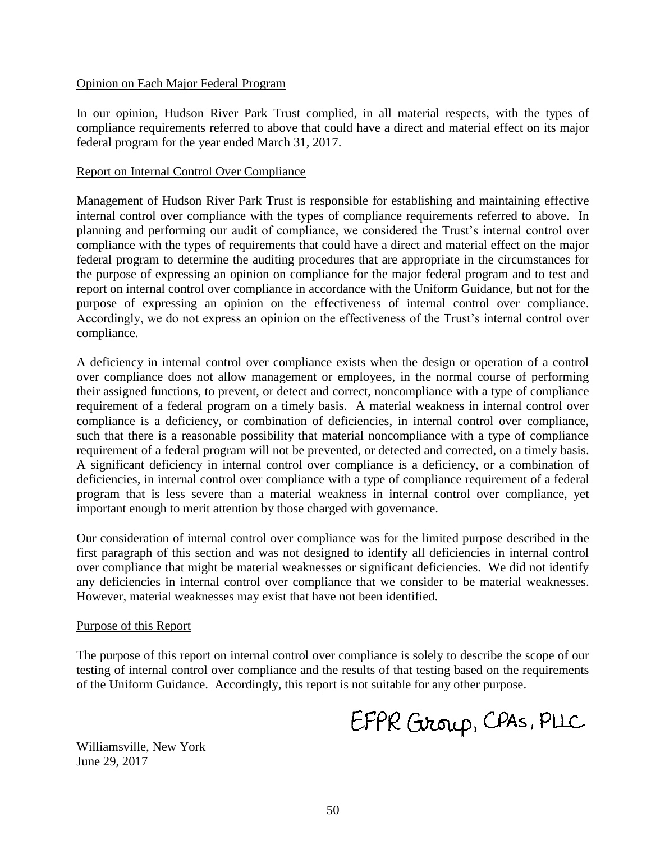### Opinion on Each Major Federal Program

In our opinion, Hudson River Park Trust complied, in all material respects, with the types of compliance requirements referred to above that could have a direct and material effect on its major federal program for the year ended March 31, 2017.

### Report on Internal Control Over Compliance

Management of Hudson River Park Trust is responsible for establishing and maintaining effective internal control over compliance with the types of compliance requirements referred to above. In planning and performing our audit of compliance, we considered the Trust's internal control over compliance with the types of requirements that could have a direct and material effect on the major federal program to determine the auditing procedures that are appropriate in the circumstances for the purpose of expressing an opinion on compliance for the major federal program and to test and report on internal control over compliance in accordance with the Uniform Guidance, but not for the purpose of expressing an opinion on the effectiveness of internal control over compliance. Accordingly, we do not express an opinion on the effectiveness of the Trust's internal control over compliance.

A deficiency in internal control over compliance exists when the design or operation of a control over compliance does not allow management or employees, in the normal course of performing their assigned functions, to prevent, or detect and correct, noncompliance with a type of compliance requirement of a federal program on a timely basis. A material weakness in internal control over compliance is a deficiency, or combination of deficiencies, in internal control over compliance, such that there is a reasonable possibility that material noncompliance with a type of compliance requirement of a federal program will not be prevented, or detected and corrected, on a timely basis. A significant deficiency in internal control over compliance is a deficiency, or a combination of deficiencies, in internal control over compliance with a type of compliance requirement of a federal program that is less severe than a material weakness in internal control over compliance, yet important enough to merit attention by those charged with governance.

Our consideration of internal control over compliance was for the limited purpose described in the first paragraph of this section and was not designed to identify all deficiencies in internal control over compliance that might be material weaknesses or significant deficiencies. We did not identify any deficiencies in internal control over compliance that we consider to be material weaknesses. However, material weaknesses may exist that have not been identified.

### Purpose of this Report

The purpose of this report on internal control over compliance is solely to describe the scope of our testing of internal control over compliance and the results of that testing based on the requirements of the Uniform Guidance. Accordingly, this report is not suitable for any other purpose.

EFPR Group, CPAS, PLLC

Williamsville, New York June 29, 2017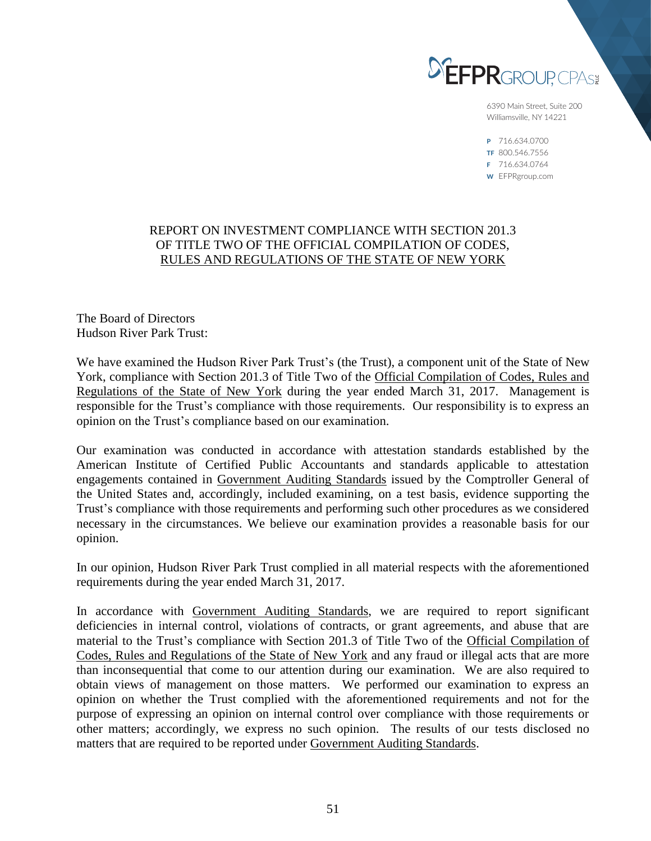

6390 Main Street, Suite 200 Williamsville, NY 14221

P 716.634.0700 TF 800.546.7556 F 716.634.0764 W EFPRgroup.com

## REPORT ON INVESTMENT COMPLIANCE WITH SECTION 201.3 OF TITLE TWO OF THE OFFICIAL COMPILATION OF CODES, RULES AND REGULATIONS OF THE STATE OF NEW YORK

The Board of Directors Hudson River Park Trust:

We have examined the Hudson River Park Trust's (the Trust), a component unit of the State of New York, compliance with Section 201.3 of Title Two of the Official Compilation of Codes, Rules and Regulations of the State of New York during the year ended March 31, 2017. Management is responsible for the Trust's compliance with those requirements. Our responsibility is to express an opinion on the Trust's compliance based on our examination.

Our examination was conducted in accordance with attestation standards established by the American Institute of Certified Public Accountants and standards applicable to attestation engagements contained in Government Auditing Standards issued by the Comptroller General of the United States and, accordingly, included examining, on a test basis, evidence supporting the Trust's compliance with those requirements and performing such other procedures as we considered necessary in the circumstances. We believe our examination provides a reasonable basis for our opinion.

In our opinion, Hudson River Park Trust complied in all material respects with the aforementioned requirements during the year ended March 31, 2017.

In accordance with Government Auditing Standards, we are required to report significant deficiencies in internal control, violations of contracts, or grant agreements, and abuse that are material to the Trust's compliance with Section 201.3 of Title Two of the Official Compilation of Codes, Rules and Regulations of the State of New York and any fraud or illegal acts that are more than inconsequential that come to our attention during our examination. We are also required to obtain views of management on those matters. We performed our examination to express an opinion on whether the Trust complied with the aforementioned requirements and not for the purpose of expressing an opinion on internal control over compliance with those requirements or other matters; accordingly, we express no such opinion. The results of our tests disclosed no matters that are required to be reported under Government Auditing Standards.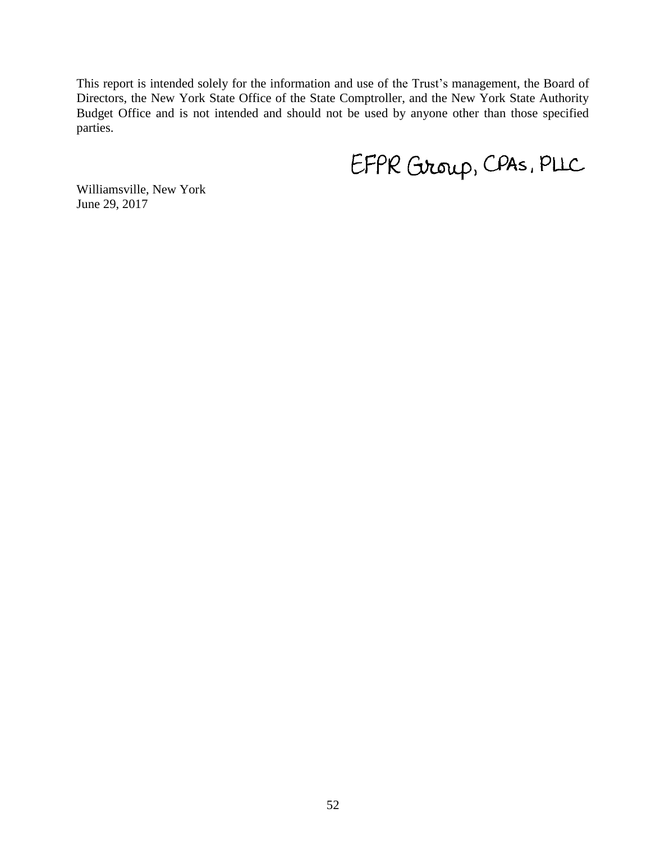This report is intended solely for the information and use of the Trust's management, the Board of Directors, the New York State Office of the State Comptroller, and the New York State Authority Budget Office and is not intended and should not be used by anyone other than those specified parties.

EFPR Group, CPAS, PLLC

Williamsville, New York June 29, 2017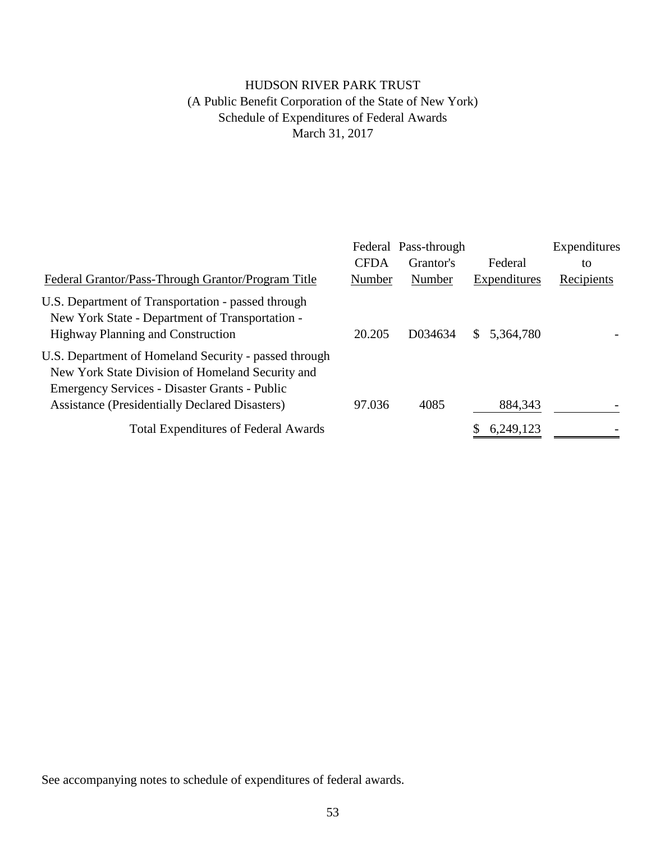# HUDSON RIVER PARK TRUST (A Public Benefit Corporation of the State of New York) Schedule of Expenditures of Federal Awards March 31, 2017

|                                                                                                                                                            |             | Federal Pass-through |                  | Expenditures |
|------------------------------------------------------------------------------------------------------------------------------------------------------------|-------------|----------------------|------------------|--------------|
|                                                                                                                                                            | <b>CFDA</b> | Grantor's            | Federal          | to           |
| Federal Grantor/Pass-Through Grantor/Program Title                                                                                                         | Number      | Number               | Expenditures     | Recipients   |
| U.S. Department of Transportation - passed through<br>New York State - Department of Transportation -<br><b>Highway Planning and Construction</b>          | 20.205      | D034634              | 5,364,780<br>SS. |              |
| U.S. Department of Homeland Security - passed through<br>New York State Division of Homeland Security and<br>Emergency Services - Disaster Grants - Public |             |                      |                  |              |
| <b>Assistance (Presidentially Declared Disasters)</b>                                                                                                      | 97.036      | 4085                 | 884,343          |              |
| <b>Total Expenditures of Federal Awards</b>                                                                                                                |             |                      | 6,249,123        |              |

See accompanying notes to schedule of expenditures of federal awards.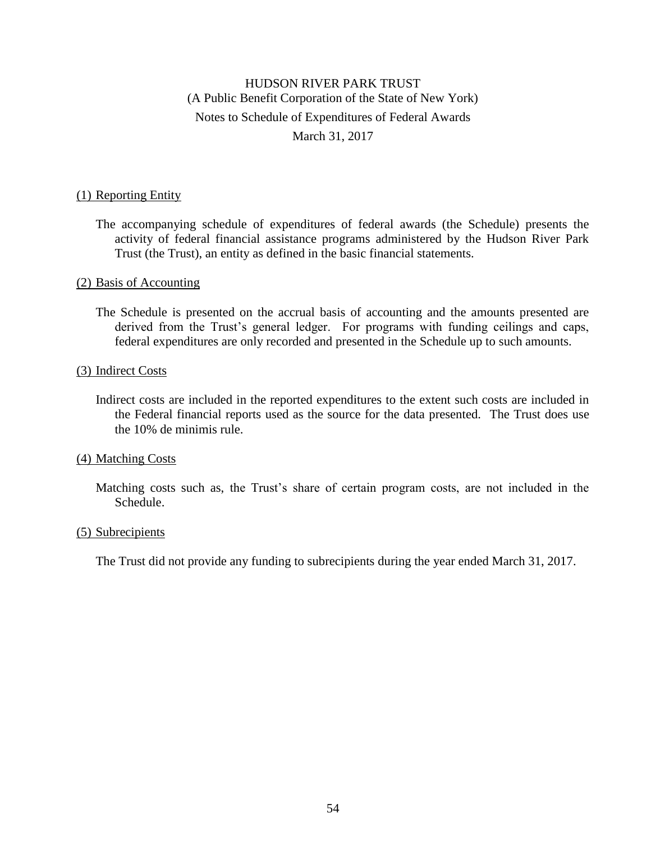# HUDSON RIVER PARK TRUST (A Public Benefit Corporation of the State of New York) Notes to Schedule of Expenditures of Federal Awards March 31, 2017

### (1) Reporting Entity

The accompanying schedule of expenditures of federal awards (the Schedule) presents the activity of federal financial assistance programs administered by the Hudson River Park Trust (the Trust), an entity as defined in the basic financial statements.

#### (2) Basis of Accounting

The Schedule is presented on the accrual basis of accounting and the amounts presented are derived from the Trust's general ledger. For programs with funding ceilings and caps, federal expenditures are only recorded and presented in the Schedule up to such amounts.

#### (3) Indirect Costs

Indirect costs are included in the reported expenditures to the extent such costs are included in the Federal financial reports used as the source for the data presented. The Trust does use the 10% de minimis rule.

#### (4) Matching Costs

Matching costs such as, the Trust's share of certain program costs, are not included in the Schedule.

#### (5) Subrecipients

The Trust did not provide any funding to subrecipients during the year ended March 31, 2017.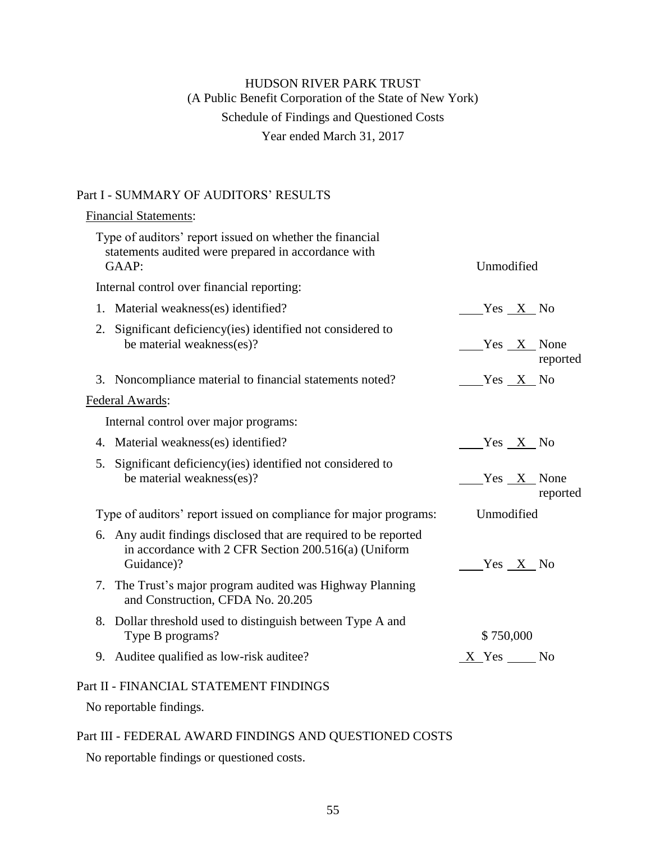# HUDSON RIVER PARK TRUST (A Public Benefit Corporation of the State of New York) Schedule of Findings and Questioned Costs Year ended March 31, 2017

## Part I - SUMMARY OF AUDITORS' RESULTS

Financial Statements:

| Type of auditors' report issued on whether the financial<br>statements audited were prepared in accordance with<br>GAAP:               | Unmodified                  |
|----------------------------------------------------------------------------------------------------------------------------------------|-----------------------------|
| Internal control over financial reporting:                                                                                             |                             |
| 1. Material weakness(es) identified?                                                                                                   | $Yes \tX No$                |
| Significant deficiency (ies) identified not considered to<br>2.<br>be material weakness(es)?                                           | $Yes$ $X$ None<br>reported  |
| 3. Noncompliance material to financial statements noted?                                                                               | $Yes$ $X$ No                |
| Federal Awards:                                                                                                                        |                             |
| Internal control over major programs:                                                                                                  |                             |
| 4. Material weakness(es) identified?                                                                                                   | $Yes \; X \; No$            |
| Significant deficiency (ies) identified not considered to<br>5.<br>be material weakness(es)?                                           | $Yes \; X$ None<br>reported |
| Type of auditors' report issued on compliance for major programs:                                                                      | Unmodified                  |
| 6. Any audit findings disclosed that are required to be reported<br>in accordance with 2 CFR Section 200.516(a) (Uniform<br>Guidance)? | Yes X No                    |
| 7. The Trust's major program audited was Highway Planning<br>and Construction, CFDA No. 20.205                                         |                             |
| 8. Dollar threshold used to distinguish between Type A and<br>Type B programs?                                                         | \$750,000                   |
| 9. Auditee qualified as low-risk auditee?                                                                                              | $X$ Yes $\_\_$ No           |
| Part II - FINANCIAL STATEMENT FINDINGS                                                                                                 |                             |
| No reportable findings.                                                                                                                |                             |

## Part III - FEDERAL AWARD FINDINGS AND QUESTIONED COSTS

No reportable findings or questioned costs.